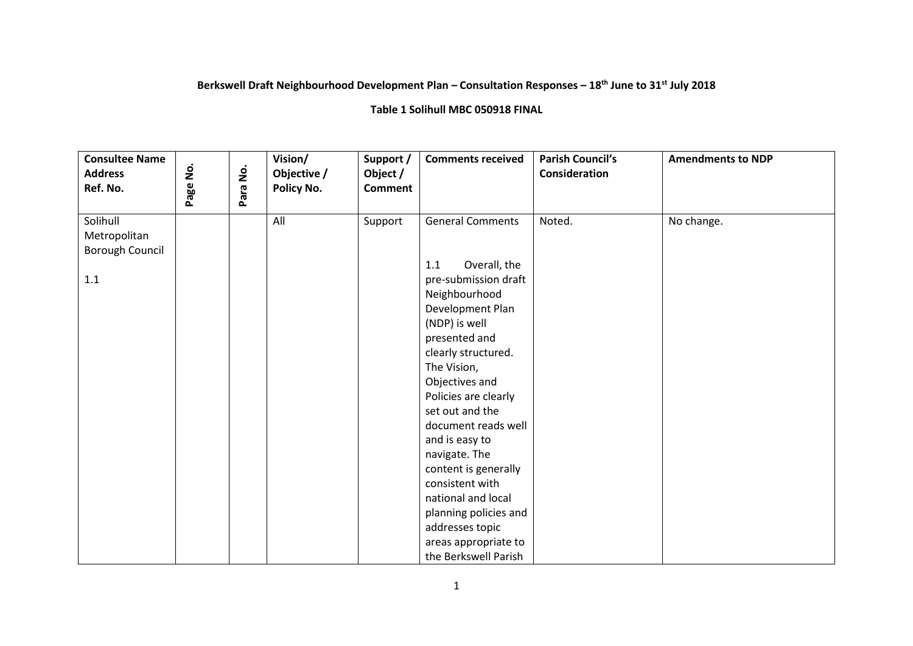## **Berkswell Draft Neighbourhood Development Plan – Consultation Responses – 18th June to 31st July 2018**

## **Table 1 Solihull MBC 050918 FINAL**

| <b>Consultee Name</b><br><b>Address</b><br>Ref. No.    | ġ<br>Page | Para No. | Vision/<br>Objective /<br>Policy No. | Support /<br>Object /<br><b>Comment</b> | <b>Comments received</b>                                                                                                                                                                                                                                                                                                                                                                                                                                                | <b>Parish Council's</b><br>Consideration | <b>Amendments to NDP</b> |
|--------------------------------------------------------|-----------|----------|--------------------------------------|-----------------------------------------|-------------------------------------------------------------------------------------------------------------------------------------------------------------------------------------------------------------------------------------------------------------------------------------------------------------------------------------------------------------------------------------------------------------------------------------------------------------------------|------------------------------------------|--------------------------|
| Solihull<br>Metropolitan<br>Borough Council<br>$1.1\,$ |           |          | All                                  | Support                                 | <b>General Comments</b><br>Overall, the<br>1.1<br>pre-submission draft<br>Neighbourhood<br>Development Plan<br>(NDP) is well<br>presented and<br>clearly structured.<br>The Vision,<br>Objectives and<br>Policies are clearly<br>set out and the<br>document reads well<br>and is easy to<br>navigate. The<br>content is generally<br>consistent with<br>national and local<br>planning policies and<br>addresses topic<br>areas appropriate to<br>the Berkswell Parish | Noted.                                   | No change.               |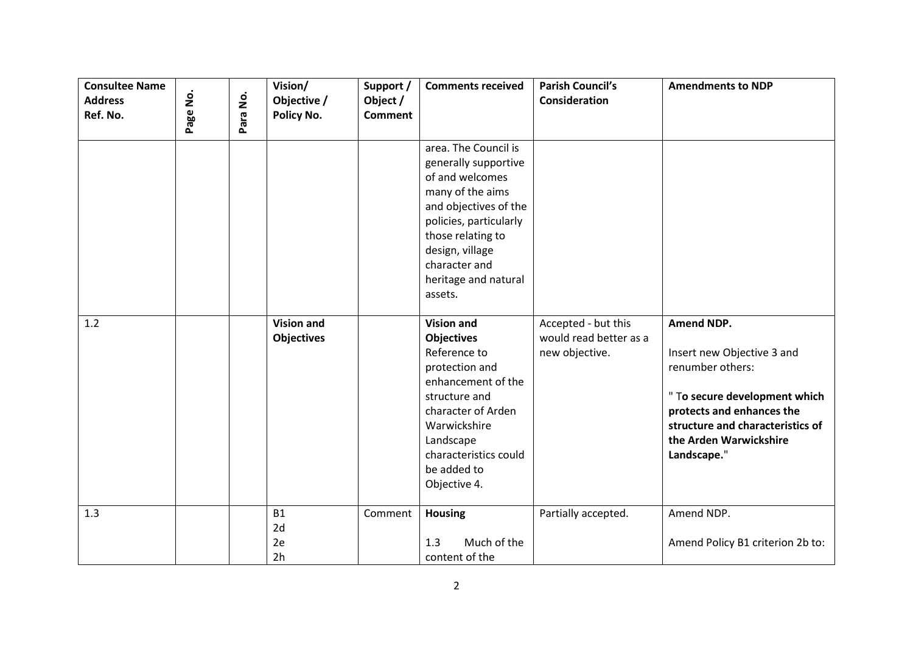| <b>Consultee Name</b><br><b>Address</b><br>Ref. No. | Page No. | $\dot{\mathsf{S}}$<br>Para <sup>1</sup> | Vision/<br>Objective /<br>Policy No.    | Support /<br>Object /<br><b>Comment</b> | <b>Comments received</b>                                                                                                                                                                                                           | <b>Parish Council's</b><br><b>Consideration</b>                 | <b>Amendments to NDP</b>                                                                                                                                                                                |
|-----------------------------------------------------|----------|-----------------------------------------|-----------------------------------------|-----------------------------------------|------------------------------------------------------------------------------------------------------------------------------------------------------------------------------------------------------------------------------------|-----------------------------------------------------------------|---------------------------------------------------------------------------------------------------------------------------------------------------------------------------------------------------------|
|                                                     |          |                                         |                                         |                                         | area. The Council is<br>generally supportive<br>of and welcomes<br>many of the aims<br>and objectives of the<br>policies, particularly<br>those relating to<br>design, village<br>character and<br>heritage and natural<br>assets. |                                                                 |                                                                                                                                                                                                         |
| 1.2                                                 |          |                                         | <b>Vision and</b><br><b>Objectives</b>  |                                         | <b>Vision and</b><br><b>Objectives</b><br>Reference to<br>protection and<br>enhancement of the<br>structure and<br>character of Arden<br>Warwickshire<br>Landscape<br>characteristics could<br>be added to<br>Objective 4.         | Accepted - but this<br>would read better as a<br>new objective. | Amend NDP.<br>Insert new Objective 3 and<br>renumber others:<br>" To secure development which<br>protects and enhances the<br>structure and characteristics of<br>the Arden Warwickshire<br>Landscape." |
| 1.3                                                 |          |                                         | <b>B1</b><br>2d<br>2e<br>2 <sub>h</sub> | Comment                                 | <b>Housing</b><br>Much of the<br>1.3<br>content of the                                                                                                                                                                             | Partially accepted.                                             | Amend NDP.<br>Amend Policy B1 criterion 2b to:                                                                                                                                                          |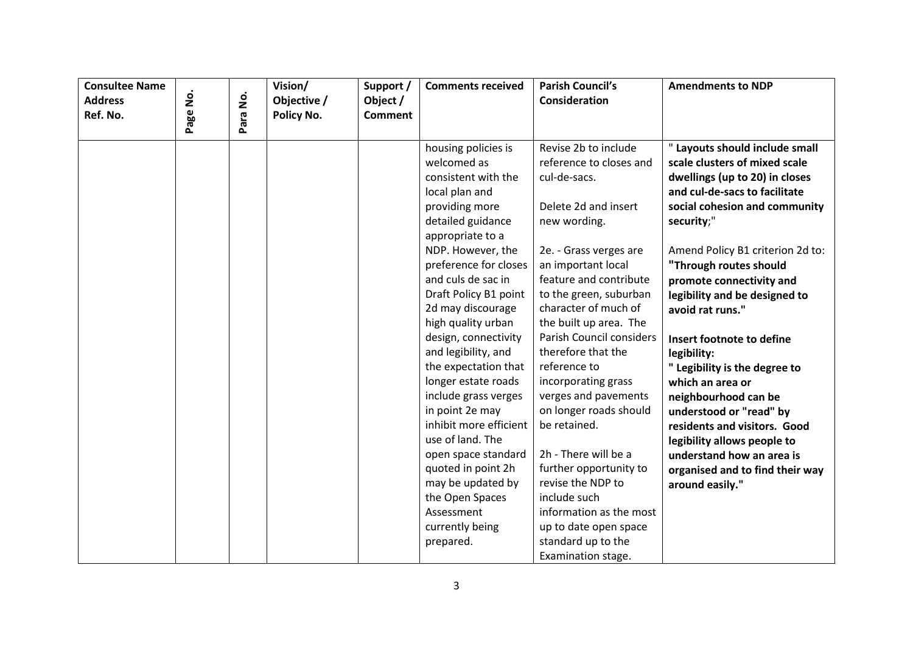| <b>Consultee Name</b>      |           |      | Vision/                   | Support /                  | <b>Comments received</b>                    | <b>Parish Council's</b>                         | <b>Amendments to NDP</b>                                        |
|----------------------------|-----------|------|---------------------------|----------------------------|---------------------------------------------|-------------------------------------------------|-----------------------------------------------------------------|
| <b>Address</b><br>Ref. No. | ġ<br>Page | ġ    | Objective /<br>Policy No. | Object /<br><b>Comment</b> |                                             | <b>Consideration</b>                            |                                                                 |
|                            |           | Para |                           |                            |                                             |                                                 |                                                                 |
|                            |           |      |                           |                            | housing policies is<br>welcomed as          | Revise 2b to include<br>reference to closes and | " Layouts should include small<br>scale clusters of mixed scale |
|                            |           |      |                           |                            | consistent with the                         | cul-de-sacs.                                    | dwellings (up to 20) in closes                                  |
|                            |           |      |                           |                            | local plan and                              |                                                 | and cul-de-sacs to facilitate                                   |
|                            |           |      |                           |                            | providing more                              | Delete 2d and insert                            | social cohesion and community                                   |
|                            |           |      |                           |                            | detailed guidance                           | new wording.                                    | security;"                                                      |
|                            |           |      |                           |                            | appropriate to a                            |                                                 |                                                                 |
|                            |           |      |                           |                            | NDP. However, the                           | 2e. - Grass verges are                          | Amend Policy B1 criterion 2d to:                                |
|                            |           |      |                           |                            | preference for closes                       | an important local                              | "Through routes should                                          |
|                            |           |      |                           |                            | and culs de sac in                          | feature and contribute                          | promote connectivity and                                        |
|                            |           |      |                           |                            | Draft Policy B1 point                       | to the green, suburban                          | legibility and be designed to                                   |
|                            |           |      |                           |                            | 2d may discourage                           | character of much of                            | avoid rat runs."                                                |
|                            |           |      |                           |                            | high quality urban                          | the built up area. The                          |                                                                 |
|                            |           |      |                           |                            | design, connectivity                        | Parish Council considers                        | Insert footnote to define                                       |
|                            |           |      |                           |                            | and legibility, and                         | therefore that the                              | legibility:                                                     |
|                            |           |      |                           |                            | the expectation that                        | reference to                                    | " Legibility is the degree to                                   |
|                            |           |      |                           |                            | longer estate roads<br>include grass verges | incorporating grass<br>verges and pavements     | which an area or                                                |
|                            |           |      |                           |                            | in point 2e may                             | on longer roads should                          | neighbourhood can be<br>understood or "read" by                 |
|                            |           |      |                           |                            | inhibit more efficient                      | be retained.                                    | residents and visitors. Good                                    |
|                            |           |      |                           |                            | use of land. The                            |                                                 | legibility allows people to                                     |
|                            |           |      |                           |                            | open space standard                         | 2h - There will be a                            | understand how an area is                                       |
|                            |           |      |                           |                            | quoted in point 2h                          | further opportunity to                          | organised and to find their way                                 |
|                            |           |      |                           |                            | may be updated by                           | revise the NDP to                               | around easily."                                                 |
|                            |           |      |                           |                            | the Open Spaces                             | include such                                    |                                                                 |
|                            |           |      |                           |                            | Assessment                                  | information as the most                         |                                                                 |
|                            |           |      |                           |                            | currently being                             | up to date open space                           |                                                                 |
|                            |           |      |                           |                            | prepared.                                   | standard up to the                              |                                                                 |
|                            |           |      |                           |                            |                                             | Examination stage.                              |                                                                 |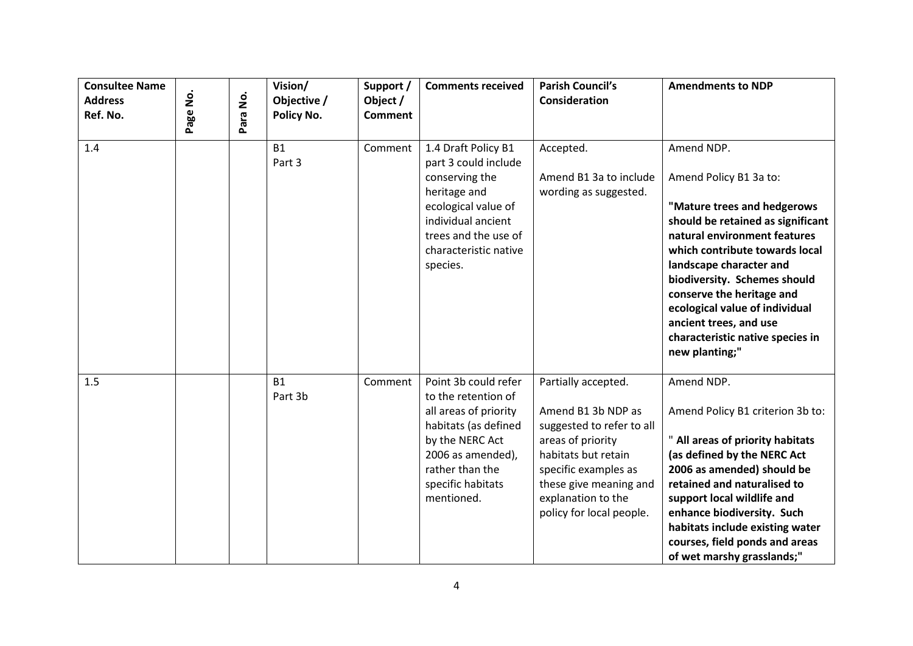| <b>Consultee Name</b><br><b>Address</b><br>Ref. No. | <u>ş</u><br>Page | $\dot{\mathsf{S}}$<br>Para | Vision/<br>Objective /<br>Policy No. | Support /<br>Object /<br><b>Comment</b> | <b>Comments received</b>                                                                                                                                                                   | <b>Parish Council's</b><br><b>Consideration</b>                                                                                                                                                                        | <b>Amendments to NDP</b>                                                                                                                                                                                                                                                                                                                                                             |
|-----------------------------------------------------|------------------|----------------------------|--------------------------------------|-----------------------------------------|--------------------------------------------------------------------------------------------------------------------------------------------------------------------------------------------|------------------------------------------------------------------------------------------------------------------------------------------------------------------------------------------------------------------------|--------------------------------------------------------------------------------------------------------------------------------------------------------------------------------------------------------------------------------------------------------------------------------------------------------------------------------------------------------------------------------------|
| 1.4                                                 |                  |                            | <b>B1</b><br>Part 3                  | Comment                                 | 1.4 Draft Policy B1<br>part 3 could include<br>conserving the<br>heritage and<br>ecological value of<br>individual ancient<br>trees and the use of<br>characteristic native<br>species.    | Accepted.<br>Amend B1 3a to include<br>wording as suggested.                                                                                                                                                           | Amend NDP.<br>Amend Policy B1 3a to:<br>"Mature trees and hedgerows<br>should be retained as significant<br>natural environment features<br>which contribute towards local<br>landscape character and<br>biodiversity. Schemes should<br>conserve the heritage and<br>ecological value of individual<br>ancient trees, and use<br>characteristic native species in<br>new planting;" |
| 1.5                                                 |                  |                            | <b>B1</b><br>Part 3b                 | Comment                                 | Point 3b could refer<br>to the retention of<br>all areas of priority<br>habitats (as defined<br>by the NERC Act<br>2006 as amended),<br>rather than the<br>specific habitats<br>mentioned. | Partially accepted.<br>Amend B1 3b NDP as<br>suggested to refer to all<br>areas of priority<br>habitats but retain<br>specific examples as<br>these give meaning and<br>explanation to the<br>policy for local people. | Amend NDP.<br>Amend Policy B1 criterion 3b to:<br>" All areas of priority habitats<br>(as defined by the NERC Act<br>2006 as amended) should be<br>retained and naturalised to<br>support local wildlife and<br>enhance biodiversity. Such<br>habitats include existing water<br>courses, field ponds and areas<br>of wet marshy grasslands;"                                        |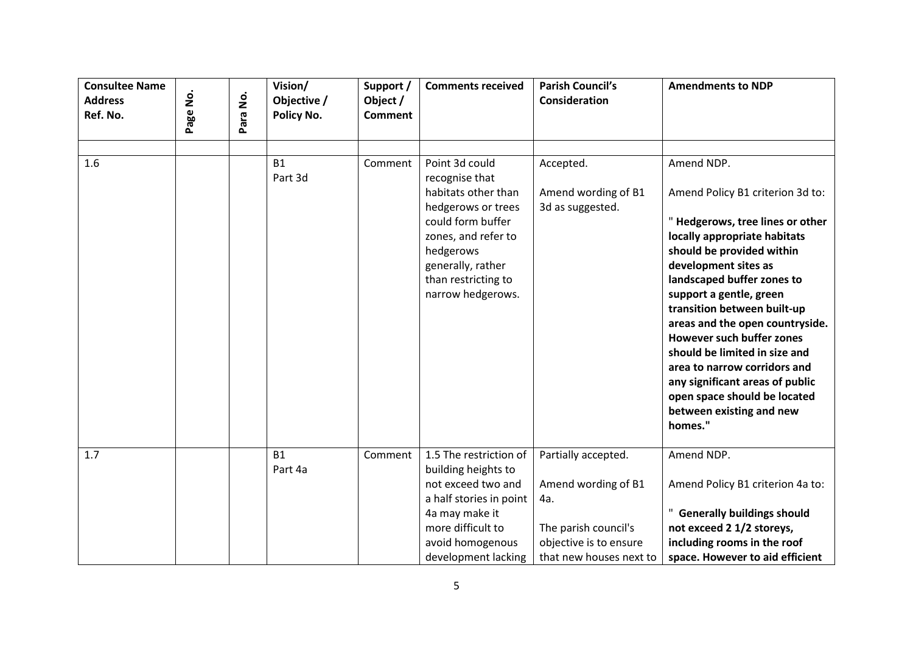| <b>Consultee Name</b><br><b>Address</b><br>Ref. No. | ġ<br>Page | .<br>2<br>Para | Vision/<br>Objective /<br>Policy No. | Support /<br>Object /<br><b>Comment</b> | <b>Comments received</b>                                                                                                                                                                                | <b>Parish Council's</b><br><b>Consideration</b>                                                                                | <b>Amendments to NDP</b>                                                                                                                                                                                                                                                                                                                                                                                                                                                                                         |
|-----------------------------------------------------|-----------|----------------|--------------------------------------|-----------------------------------------|---------------------------------------------------------------------------------------------------------------------------------------------------------------------------------------------------------|--------------------------------------------------------------------------------------------------------------------------------|------------------------------------------------------------------------------------------------------------------------------------------------------------------------------------------------------------------------------------------------------------------------------------------------------------------------------------------------------------------------------------------------------------------------------------------------------------------------------------------------------------------|
|                                                     |           |                |                                      |                                         |                                                                                                                                                                                                         |                                                                                                                                |                                                                                                                                                                                                                                                                                                                                                                                                                                                                                                                  |
| 1.6                                                 |           |                | <b>B1</b><br>Part 3d                 | Comment                                 | Point 3d could<br>recognise that<br>habitats other than<br>hedgerows or trees<br>could form buffer<br>zones, and refer to<br>hedgerows<br>generally, rather<br>than restricting to<br>narrow hedgerows. | Accepted.<br>Amend wording of B1<br>3d as suggested.                                                                           | Amend NDP.<br>Amend Policy B1 criterion 3d to:<br>"Hedgerows, tree lines or other<br>locally appropriate habitats<br>should be provided within<br>development sites as<br>landscaped buffer zones to<br>support a gentle, green<br>transition between built-up<br>areas and the open countryside.<br><b>However such buffer zones</b><br>should be limited in size and<br>area to narrow corridors and<br>any significant areas of public<br>open space should be located<br>between existing and new<br>homes." |
| 1.7                                                 |           |                | <b>B1</b><br>Part 4a                 | Comment                                 | 1.5 The restriction of<br>building heights to<br>not exceed two and<br>a half stories in point<br>4a may make it<br>more difficult to<br>avoid homogenous<br>development lacking                        | Partially accepted.<br>Amend wording of B1<br>4a.<br>The parish council's<br>objective is to ensure<br>that new houses next to | Amend NDP.<br>Amend Policy B1 criterion 4a to:<br>" Generally buildings should<br>not exceed 2 1/2 storeys,<br>including rooms in the roof<br>space. However to aid efficient                                                                                                                                                                                                                                                                                                                                    |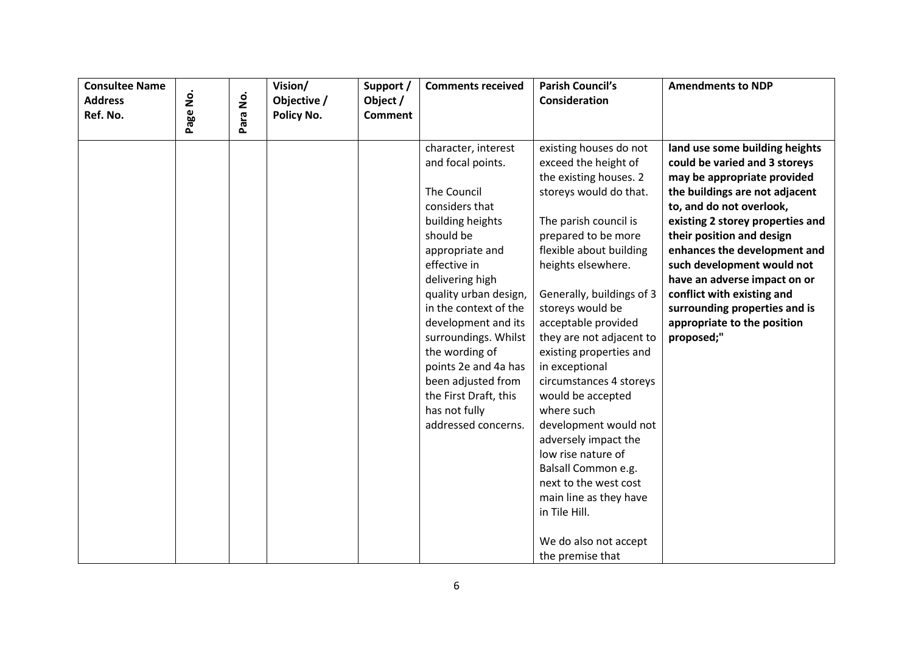| <b>Consultee Name</b><br><b>Address</b> |          | $\mathbf{\dot{g}}$ | Vision/<br>Objective / | Support /<br>Object / | <b>Comments received</b>                                                                                                                                                                                                                                                                                                                                                                                  | <b>Parish Council's</b><br><b>Consideration</b>                                                                                                                                                                                                                                                                                                                                                                                                                                                                                                                                                                                   | <b>Amendments to NDP</b>                                                                                                                                                                                                                                                                                                                                                                                                                |
|-----------------------------------------|----------|--------------------|------------------------|-----------------------|-----------------------------------------------------------------------------------------------------------------------------------------------------------------------------------------------------------------------------------------------------------------------------------------------------------------------------------------------------------------------------------------------------------|-----------------------------------------------------------------------------------------------------------------------------------------------------------------------------------------------------------------------------------------------------------------------------------------------------------------------------------------------------------------------------------------------------------------------------------------------------------------------------------------------------------------------------------------------------------------------------------------------------------------------------------|-----------------------------------------------------------------------------------------------------------------------------------------------------------------------------------------------------------------------------------------------------------------------------------------------------------------------------------------------------------------------------------------------------------------------------------------|
| Ref. No.                                | Page No. | Para               | Policy No.             | <b>Comment</b>        |                                                                                                                                                                                                                                                                                                                                                                                                           |                                                                                                                                                                                                                                                                                                                                                                                                                                                                                                                                                                                                                                   |                                                                                                                                                                                                                                                                                                                                                                                                                                         |
|                                         |          |                    |                        |                       | character, interest<br>and focal points.<br><b>The Council</b><br>considers that<br>building heights<br>should be<br>appropriate and<br>effective in<br>delivering high<br>quality urban design,<br>in the context of the<br>development and its<br>surroundings. Whilst<br>the wording of<br>points 2e and 4a has<br>been adjusted from<br>the First Draft, this<br>has not fully<br>addressed concerns. | existing houses do not<br>exceed the height of<br>the existing houses. 2<br>storeys would do that.<br>The parish council is<br>prepared to be more<br>flexible about building<br>heights elsewhere.<br>Generally, buildings of 3<br>storeys would be<br>acceptable provided<br>they are not adjacent to<br>existing properties and<br>in exceptional<br>circumstances 4 storeys<br>would be accepted<br>where such<br>development would not<br>adversely impact the<br>low rise nature of<br>Balsall Common e.g.<br>next to the west cost<br>main line as they have<br>in Tile Hill.<br>We do also not accept<br>the premise that | land use some building heights<br>could be varied and 3 storeys<br>may be appropriate provided<br>the buildings are not adjacent<br>to, and do not overlook,<br>existing 2 storey properties and<br>their position and design<br>enhances the development and<br>such development would not<br>have an adverse impact on or<br>conflict with existing and<br>surrounding properties and is<br>appropriate to the position<br>proposed;" |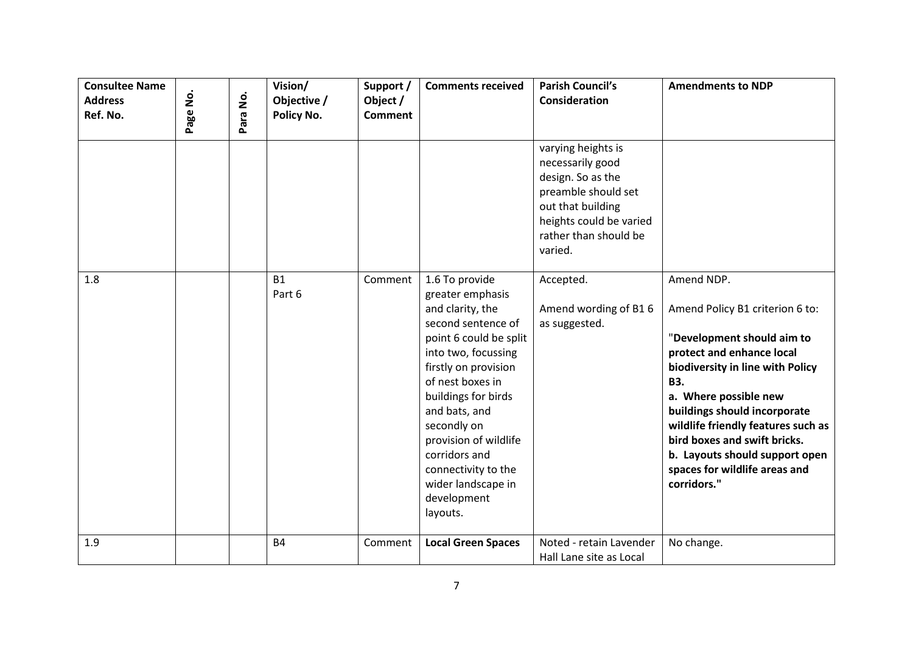| <b>Consultee Name</b><br><b>Address</b><br>Ref. No. | Page No. | ġ<br>Para | Vision/<br>Objective /<br>Policy No. | Support /<br>Object /<br><b>Comment</b> | <b>Comments received</b>                                                                                                                                                                                                                                                                                                                           | <b>Parish Council's</b><br><b>Consideration</b>                                                                                                                        | <b>Amendments to NDP</b>                                                                                                                                                                                                                                                                                                                                                    |
|-----------------------------------------------------|----------|-----------|--------------------------------------|-----------------------------------------|----------------------------------------------------------------------------------------------------------------------------------------------------------------------------------------------------------------------------------------------------------------------------------------------------------------------------------------------------|------------------------------------------------------------------------------------------------------------------------------------------------------------------------|-----------------------------------------------------------------------------------------------------------------------------------------------------------------------------------------------------------------------------------------------------------------------------------------------------------------------------------------------------------------------------|
|                                                     |          |           |                                      |                                         |                                                                                                                                                                                                                                                                                                                                                    | varying heights is<br>necessarily good<br>design. So as the<br>preamble should set<br>out that building<br>heights could be varied<br>rather than should be<br>varied. |                                                                                                                                                                                                                                                                                                                                                                             |
| 1.8                                                 |          |           | <b>B1</b><br>Part 6                  | Comment                                 | 1.6 To provide<br>greater emphasis<br>and clarity, the<br>second sentence of<br>point 6 could be split<br>into two, focussing<br>firstly on provision<br>of nest boxes in<br>buildings for birds<br>and bats, and<br>secondly on<br>provision of wildlife<br>corridors and<br>connectivity to the<br>wider landscape in<br>development<br>layouts. | Accepted.<br>Amend wording of B16<br>as suggested.                                                                                                                     | Amend NDP.<br>Amend Policy B1 criterion 6 to:<br>"Development should aim to<br>protect and enhance local<br>biodiversity in line with Policy<br><b>B3.</b><br>a. Where possible new<br>buildings should incorporate<br>wildlife friendly features such as<br>bird boxes and swift bricks.<br>b. Layouts should support open<br>spaces for wildlife areas and<br>corridors." |
| 1.9                                                 |          |           | <b>B4</b>                            | Comment                                 | <b>Local Green Spaces</b>                                                                                                                                                                                                                                                                                                                          | Noted - retain Lavender<br>Hall Lane site as Local                                                                                                                     | No change.                                                                                                                                                                                                                                                                                                                                                                  |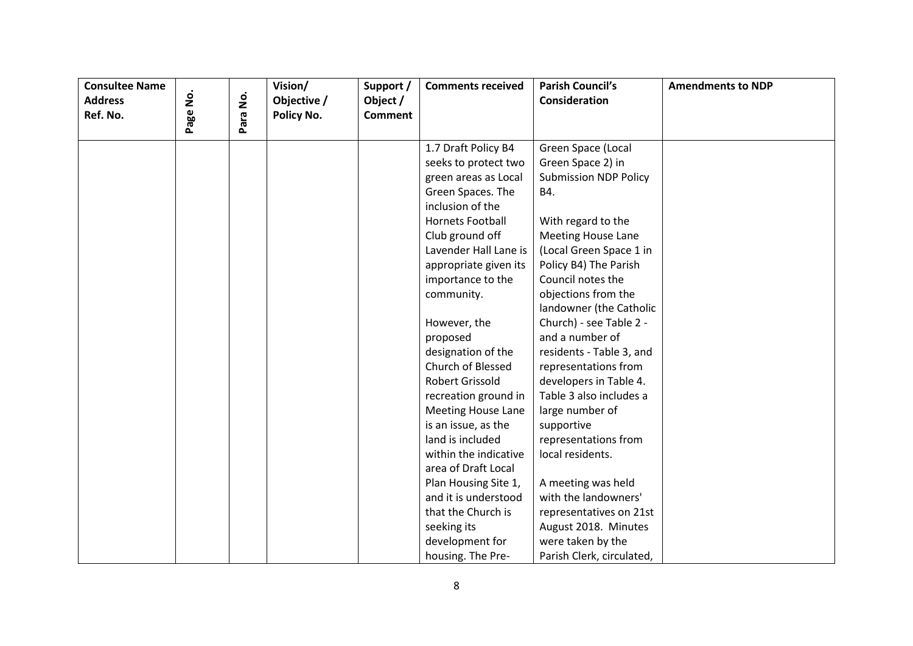| <b>Consultee Name</b> |      |          | Vision/     | Support /      | <b>Comments received</b>  | <b>Parish Council's</b>      | <b>Amendments to NDP</b> |
|-----------------------|------|----------|-------------|----------------|---------------------------|------------------------------|--------------------------|
| <b>Address</b>        | ġ    |          | Objective / | Object /       |                           | Consideration                |                          |
| Ref. No.              | Page | Para No. | Policy No.  | <b>Comment</b> |                           |                              |                          |
|                       |      |          |             |                | 1.7 Draft Policy B4       | Green Space (Local           |                          |
|                       |      |          |             |                | seeks to protect two      | Green Space 2) in            |                          |
|                       |      |          |             |                | green areas as Local      | <b>Submission NDP Policy</b> |                          |
|                       |      |          |             |                | Green Spaces. The         | B4.                          |                          |
|                       |      |          |             |                | inclusion of the          |                              |                          |
|                       |      |          |             |                | <b>Hornets Football</b>   | With regard to the           |                          |
|                       |      |          |             |                | Club ground off           | <b>Meeting House Lane</b>    |                          |
|                       |      |          |             |                | Lavender Hall Lane is     | (Local Green Space 1 in      |                          |
|                       |      |          |             |                | appropriate given its     | Policy B4) The Parish        |                          |
|                       |      |          |             |                | importance to the         | Council notes the            |                          |
|                       |      |          |             |                | community.                | objections from the          |                          |
|                       |      |          |             |                |                           | landowner (the Catholic      |                          |
|                       |      |          |             |                | However, the              | Church) - see Table 2 -      |                          |
|                       |      |          |             |                | proposed                  | and a number of              |                          |
|                       |      |          |             |                | designation of the        | residents - Table 3, and     |                          |
|                       |      |          |             |                | Church of Blessed         | representations from         |                          |
|                       |      |          |             |                | Robert Grissold           | developers in Table 4.       |                          |
|                       |      |          |             |                | recreation ground in      | Table 3 also includes a      |                          |
|                       |      |          |             |                | <b>Meeting House Lane</b> | large number of              |                          |
|                       |      |          |             |                | is an issue, as the       | supportive                   |                          |
|                       |      |          |             |                | land is included          | representations from         |                          |
|                       |      |          |             |                | within the indicative     | local residents.             |                          |
|                       |      |          |             |                | area of Draft Local       |                              |                          |
|                       |      |          |             |                | Plan Housing Site 1,      | A meeting was held           |                          |
|                       |      |          |             |                | and it is understood      | with the landowners'         |                          |
|                       |      |          |             |                | that the Church is        | representatives on 21st      |                          |
|                       |      |          |             |                | seeking its               | August 2018. Minutes         |                          |
|                       |      |          |             |                | development for           | were taken by the            |                          |
|                       |      |          |             |                | housing. The Pre-         | Parish Clerk, circulated,    |                          |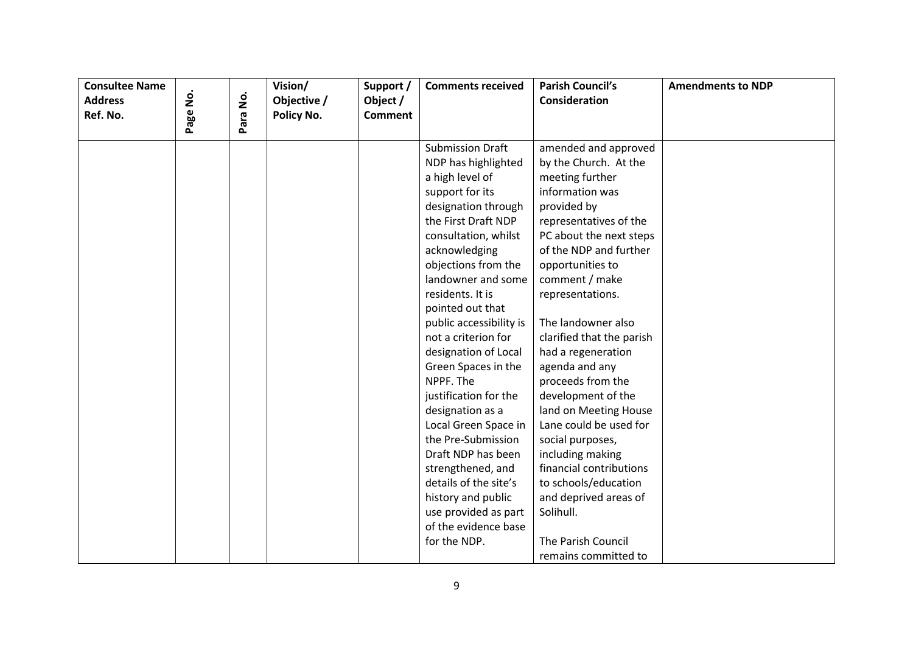| <b>Consultee Name</b> |      |      | Vision/     | Support /      | <b>Comments received</b> | <b>Parish Council's</b>   | <b>Amendments to NDP</b> |
|-----------------------|------|------|-------------|----------------|--------------------------|---------------------------|--------------------------|
| <b>Address</b>        | ġ    | ġ    | Objective / | Object /       |                          | Consideration             |                          |
| Ref. No.              | Page | Para | Policy No.  | <b>Comment</b> |                          |                           |                          |
|                       |      |      |             |                | <b>Submission Draft</b>  | amended and approved      |                          |
|                       |      |      |             |                | NDP has highlighted      | by the Church. At the     |                          |
|                       |      |      |             |                | a high level of          | meeting further           |                          |
|                       |      |      |             |                | support for its          | information was           |                          |
|                       |      |      |             |                | designation through      | provided by               |                          |
|                       |      |      |             |                | the First Draft NDP      | representatives of the    |                          |
|                       |      |      |             |                | consultation, whilst     | PC about the next steps   |                          |
|                       |      |      |             |                | acknowledging            | of the NDP and further    |                          |
|                       |      |      |             |                | objections from the      | opportunities to          |                          |
|                       |      |      |             |                | landowner and some       | comment / make            |                          |
|                       |      |      |             |                | residents. It is         | representations.          |                          |
|                       |      |      |             |                | pointed out that         |                           |                          |
|                       |      |      |             |                | public accessibility is  | The landowner also        |                          |
|                       |      |      |             |                | not a criterion for      | clarified that the parish |                          |
|                       |      |      |             |                | designation of Local     | had a regeneration        |                          |
|                       |      |      |             |                | Green Spaces in the      | agenda and any            |                          |
|                       |      |      |             |                | NPPF. The                | proceeds from the         |                          |
|                       |      |      |             |                | justification for the    | development of the        |                          |
|                       |      |      |             |                | designation as a         | land on Meeting House     |                          |
|                       |      |      |             |                | Local Green Space in     | Lane could be used for    |                          |
|                       |      |      |             |                | the Pre-Submission       | social purposes,          |                          |
|                       |      |      |             |                | Draft NDP has been       | including making          |                          |
|                       |      |      |             |                | strengthened, and        | financial contributions   |                          |
|                       |      |      |             |                | details of the site's    | to schools/education      |                          |
|                       |      |      |             |                | history and public       | and deprived areas of     |                          |
|                       |      |      |             |                | use provided as part     | Solihull.                 |                          |
|                       |      |      |             |                | of the evidence base     |                           |                          |
|                       |      |      |             |                | for the NDP.             | The Parish Council        |                          |
|                       |      |      |             |                |                          | remains committed to      |                          |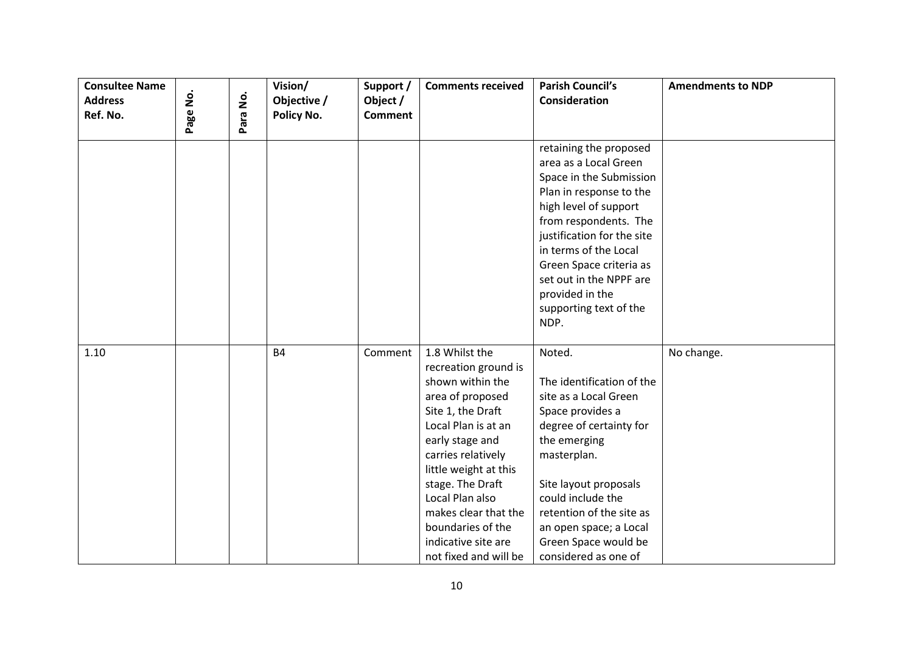| <b>Consultee Name</b>      |          |          | Vision/                   | Support /                  | <b>Comments received</b>                                                                                                                                                                                                                                                                                                         | <b>Parish Council's</b>                                                                                                                                                                                                                                                                                                   | <b>Amendments to NDP</b> |
|----------------------------|----------|----------|---------------------------|----------------------------|----------------------------------------------------------------------------------------------------------------------------------------------------------------------------------------------------------------------------------------------------------------------------------------------------------------------------------|---------------------------------------------------------------------------------------------------------------------------------------------------------------------------------------------------------------------------------------------------------------------------------------------------------------------------|--------------------------|
| <b>Address</b><br>Ref. No. | Page No. | Para No. | Objective /<br>Policy No. | Object /<br><b>Comment</b> |                                                                                                                                                                                                                                                                                                                                  | Consideration                                                                                                                                                                                                                                                                                                             |                          |
|                            |          |          |                           |                            |                                                                                                                                                                                                                                                                                                                                  | retaining the proposed<br>area as a Local Green<br>Space in the Submission<br>Plan in response to the<br>high level of support<br>from respondents. The<br>justification for the site<br>in terms of the Local<br>Green Space criteria as<br>set out in the NPPF are<br>provided in the<br>supporting text of the<br>NDP. |                          |
| 1.10                       |          |          | <b>B4</b>                 | Comment                    | 1.8 Whilst the<br>recreation ground is<br>shown within the<br>area of proposed<br>Site 1, the Draft<br>Local Plan is at an<br>early stage and<br>carries relatively<br>little weight at this<br>stage. The Draft<br>Local Plan also<br>makes clear that the<br>boundaries of the<br>indicative site are<br>not fixed and will be | Noted.<br>The identification of the<br>site as a Local Green<br>Space provides a<br>degree of certainty for<br>the emerging<br>masterplan.<br>Site layout proposals<br>could include the<br>retention of the site as<br>an open space; a Local<br>Green Space would be<br>considered as one of                            | No change.               |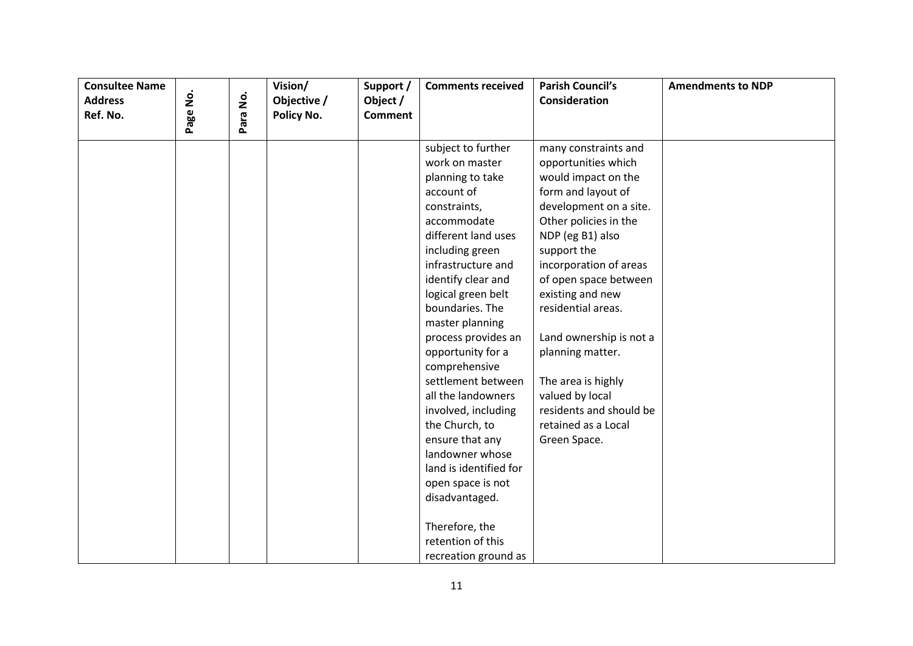| <b>Consultee Name</b> |          |          | Vision/     | Support /      | <b>Comments received</b> | <b>Parish Council's</b> | <b>Amendments to NDP</b> |
|-----------------------|----------|----------|-------------|----------------|--------------------------|-------------------------|--------------------------|
| <b>Address</b>        |          |          | Objective / | Object /       |                          | Consideration           |                          |
| Ref. No.              | Page No. | Para No. | Policy No.  | <b>Comment</b> |                          |                         |                          |
|                       |          |          |             |                | subject to further       | many constraints and    |                          |
|                       |          |          |             |                | work on master           | opportunities which     |                          |
|                       |          |          |             |                | planning to take         | would impact on the     |                          |
|                       |          |          |             |                | account of               | form and layout of      |                          |
|                       |          |          |             |                | constraints,             | development on a site.  |                          |
|                       |          |          |             |                | accommodate              | Other policies in the   |                          |
|                       |          |          |             |                | different land uses      | NDP (eg B1) also        |                          |
|                       |          |          |             |                | including green          | support the             |                          |
|                       |          |          |             |                | infrastructure and       | incorporation of areas  |                          |
|                       |          |          |             |                | identify clear and       | of open space between   |                          |
|                       |          |          |             |                | logical green belt       | existing and new        |                          |
|                       |          |          |             |                | boundaries. The          | residential areas.      |                          |
|                       |          |          |             |                | master planning          |                         |                          |
|                       |          |          |             |                | process provides an      | Land ownership is not a |                          |
|                       |          |          |             |                | opportunity for a        | planning matter.        |                          |
|                       |          |          |             |                | comprehensive            |                         |                          |
|                       |          |          |             |                | settlement between       | The area is highly      |                          |
|                       |          |          |             |                | all the landowners       | valued by local         |                          |
|                       |          |          |             |                | involved, including      | residents and should be |                          |
|                       |          |          |             |                | the Church, to           | retained as a Local     |                          |
|                       |          |          |             |                | ensure that any          | Green Space.            |                          |
|                       |          |          |             |                | landowner whose          |                         |                          |
|                       |          |          |             |                | land is identified for   |                         |                          |
|                       |          |          |             |                | open space is not        |                         |                          |
|                       |          |          |             |                | disadvantaged.           |                         |                          |
|                       |          |          |             |                | Therefore, the           |                         |                          |
|                       |          |          |             |                | retention of this        |                         |                          |
|                       |          |          |             |                | recreation ground as     |                         |                          |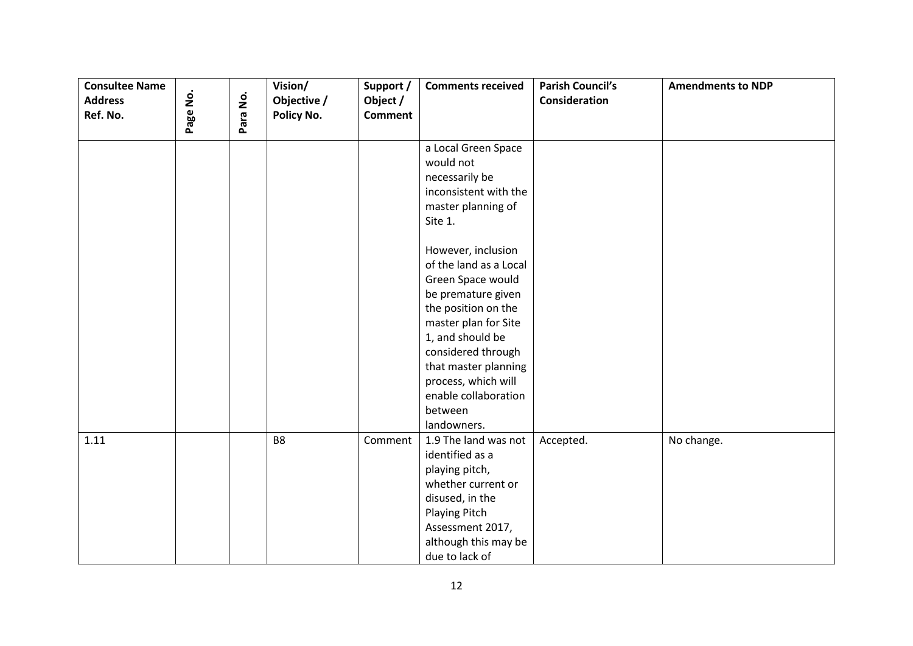| <b>Consultee Name</b><br><b>Address</b><br>Ref. No. | Page No. | Para No. | Vision/<br>Objective /<br>Policy No. | Support /<br>Object /<br><b>Comment</b> | <b>Comments received</b> | <b>Parish Council's</b><br><b>Consideration</b> | <b>Amendments to NDP</b> |
|-----------------------------------------------------|----------|----------|--------------------------------------|-----------------------------------------|--------------------------|-------------------------------------------------|--------------------------|
|                                                     |          |          |                                      |                                         |                          |                                                 |                          |
|                                                     |          |          |                                      |                                         | a Local Green Space      |                                                 |                          |
|                                                     |          |          |                                      |                                         | would not                |                                                 |                          |
|                                                     |          |          |                                      |                                         | necessarily be           |                                                 |                          |
|                                                     |          |          |                                      |                                         | inconsistent with the    |                                                 |                          |
|                                                     |          |          |                                      |                                         | master planning of       |                                                 |                          |
|                                                     |          |          |                                      |                                         | Site 1.                  |                                                 |                          |
|                                                     |          |          |                                      |                                         | However, inclusion       |                                                 |                          |
|                                                     |          |          |                                      |                                         | of the land as a Local   |                                                 |                          |
|                                                     |          |          |                                      |                                         | Green Space would        |                                                 |                          |
|                                                     |          |          |                                      |                                         | be premature given       |                                                 |                          |
|                                                     |          |          |                                      |                                         | the position on the      |                                                 |                          |
|                                                     |          |          |                                      |                                         | master plan for Site     |                                                 |                          |
|                                                     |          |          |                                      |                                         | 1, and should be         |                                                 |                          |
|                                                     |          |          |                                      |                                         | considered through       |                                                 |                          |
|                                                     |          |          |                                      |                                         | that master planning     |                                                 |                          |
|                                                     |          |          |                                      |                                         | process, which will      |                                                 |                          |
|                                                     |          |          |                                      |                                         | enable collaboration     |                                                 |                          |
|                                                     |          |          |                                      |                                         | between                  |                                                 |                          |
|                                                     |          |          |                                      |                                         | landowners.              |                                                 |                          |
| 1.11                                                |          |          | B <sub>8</sub>                       | Comment                                 | 1.9 The land was not     | Accepted.                                       | No change.               |
|                                                     |          |          |                                      |                                         | identified as a          |                                                 |                          |
|                                                     |          |          |                                      |                                         | playing pitch,           |                                                 |                          |
|                                                     |          |          |                                      |                                         | whether current or       |                                                 |                          |
|                                                     |          |          |                                      |                                         | disused, in the          |                                                 |                          |
|                                                     |          |          |                                      |                                         | <b>Playing Pitch</b>     |                                                 |                          |
|                                                     |          |          |                                      |                                         | Assessment 2017,         |                                                 |                          |
|                                                     |          |          |                                      |                                         | although this may be     |                                                 |                          |
|                                                     |          |          |                                      |                                         | due to lack of           |                                                 |                          |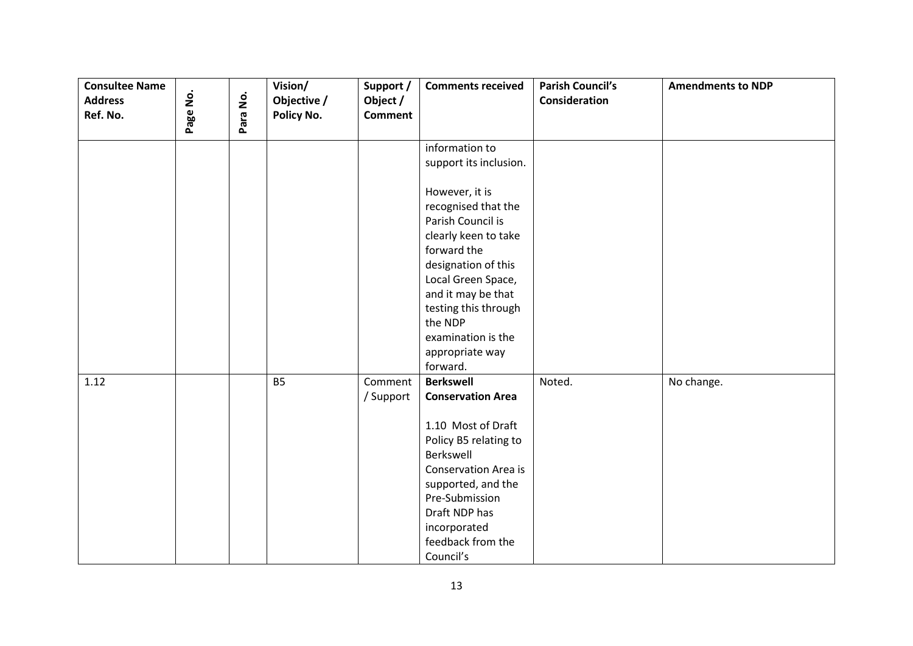| <b>Consultee Name</b><br><b>Address</b> | Page No. | Para No. | Vision/<br>Objective / | Support /<br>Object / | <b>Comments received</b>                  | <b>Parish Council's</b><br><b>Consideration</b> | <b>Amendments to NDP</b> |
|-----------------------------------------|----------|----------|------------------------|-----------------------|-------------------------------------------|-------------------------------------------------|--------------------------|
| Ref. No.                                |          |          | Policy No.             | <b>Comment</b>        |                                           |                                                 |                          |
|                                         |          |          |                        |                       | information to                            |                                                 |                          |
|                                         |          |          |                        |                       | support its inclusion.                    |                                                 |                          |
|                                         |          |          |                        |                       | However, it is                            |                                                 |                          |
|                                         |          |          |                        |                       | recognised that the                       |                                                 |                          |
|                                         |          |          |                        |                       | Parish Council is<br>clearly keen to take |                                                 |                          |
|                                         |          |          |                        |                       | forward the                               |                                                 |                          |
|                                         |          |          |                        |                       | designation of this                       |                                                 |                          |
|                                         |          |          |                        |                       | Local Green Space,                        |                                                 |                          |
|                                         |          |          |                        |                       | and it may be that                        |                                                 |                          |
|                                         |          |          |                        |                       | testing this through                      |                                                 |                          |
|                                         |          |          |                        |                       | the NDP<br>examination is the             |                                                 |                          |
|                                         |          |          |                        |                       | appropriate way                           |                                                 |                          |
|                                         |          |          |                        |                       | forward.                                  |                                                 |                          |
| 1.12                                    |          |          | <b>B5</b>              | Comment               | <b>Berkswell</b>                          | Noted.                                          | No change.               |
|                                         |          |          |                        | / Support             | <b>Conservation Area</b>                  |                                                 |                          |
|                                         |          |          |                        |                       | 1.10 Most of Draft                        |                                                 |                          |
|                                         |          |          |                        |                       | Policy B5 relating to                     |                                                 |                          |
|                                         |          |          |                        |                       | Berkswell                                 |                                                 |                          |
|                                         |          |          |                        |                       | <b>Conservation Area is</b>               |                                                 |                          |
|                                         |          |          |                        |                       | supported, and the                        |                                                 |                          |
|                                         |          |          |                        |                       | Pre-Submission<br>Draft NDP has           |                                                 |                          |
|                                         |          |          |                        |                       | incorporated                              |                                                 |                          |
|                                         |          |          |                        |                       | feedback from the                         |                                                 |                          |
|                                         |          |          |                        |                       | Council's                                 |                                                 |                          |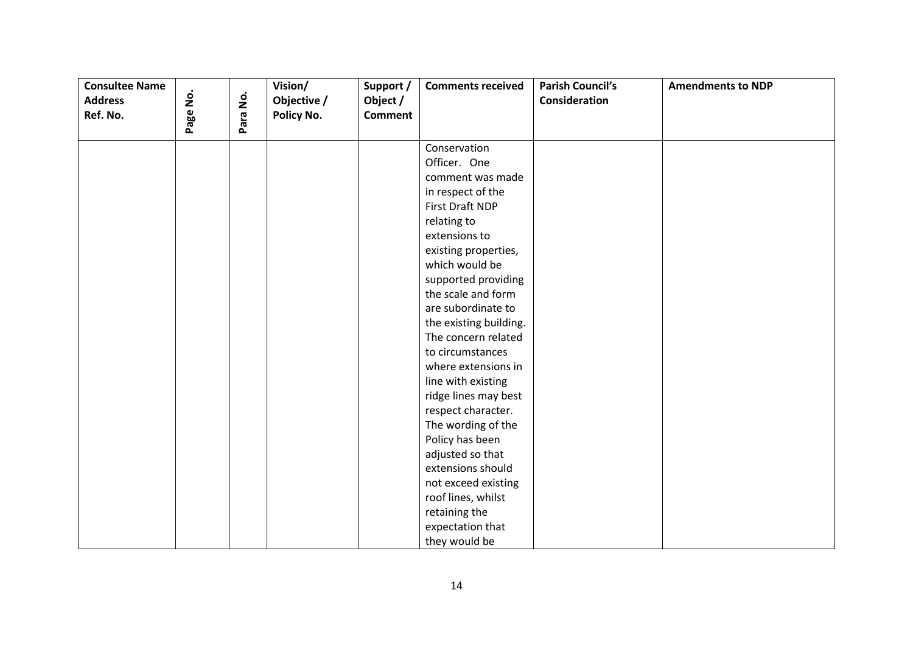| <b>Consultee Name</b><br><b>Address</b> |          |                    | Vision/                   | Support /                  | <b>Comments received</b> | <b>Parish Council's</b><br>Consideration | <b>Amendments to NDP</b> |
|-----------------------------------------|----------|--------------------|---------------------------|----------------------------|--------------------------|------------------------------------------|--------------------------|
| Ref. No.                                | Page No. | $\dot{\mathsf{p}}$ | Objective /<br>Policy No. | Object /<br><b>Comment</b> |                          |                                          |                          |
|                                         |          | Para               |                           |                            |                          |                                          |                          |
|                                         |          |                    |                           |                            | Conservation             |                                          |                          |
|                                         |          |                    |                           |                            | Officer. One             |                                          |                          |
|                                         |          |                    |                           |                            | comment was made         |                                          |                          |
|                                         |          |                    |                           |                            | in respect of the        |                                          |                          |
|                                         |          |                    |                           |                            | First Draft NDP          |                                          |                          |
|                                         |          |                    |                           |                            | relating to              |                                          |                          |
|                                         |          |                    |                           |                            | extensions to            |                                          |                          |
|                                         |          |                    |                           |                            | existing properties,     |                                          |                          |
|                                         |          |                    |                           |                            | which would be           |                                          |                          |
|                                         |          |                    |                           |                            | supported providing      |                                          |                          |
|                                         |          |                    |                           |                            | the scale and form       |                                          |                          |
|                                         |          |                    |                           |                            | are subordinate to       |                                          |                          |
|                                         |          |                    |                           |                            | the existing building.   |                                          |                          |
|                                         |          |                    |                           |                            | The concern related      |                                          |                          |
|                                         |          |                    |                           |                            | to circumstances         |                                          |                          |
|                                         |          |                    |                           |                            | where extensions in      |                                          |                          |
|                                         |          |                    |                           |                            | line with existing       |                                          |                          |
|                                         |          |                    |                           |                            | ridge lines may best     |                                          |                          |
|                                         |          |                    |                           |                            | respect character.       |                                          |                          |
|                                         |          |                    |                           |                            | The wording of the       |                                          |                          |
|                                         |          |                    |                           |                            | Policy has been          |                                          |                          |
|                                         |          |                    |                           |                            | adjusted so that         |                                          |                          |
|                                         |          |                    |                           |                            | extensions should        |                                          |                          |
|                                         |          |                    |                           |                            | not exceed existing      |                                          |                          |
|                                         |          |                    |                           |                            | roof lines, whilst       |                                          |                          |
|                                         |          |                    |                           |                            | retaining the            |                                          |                          |
|                                         |          |                    |                           |                            | expectation that         |                                          |                          |
|                                         |          |                    |                           |                            | they would be            |                                          |                          |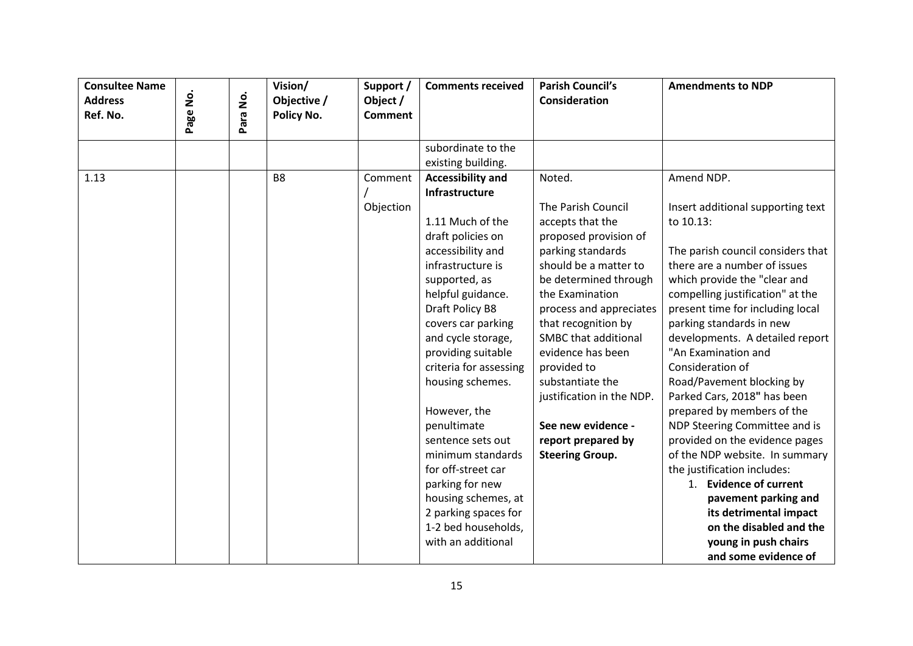| <b>Consultee Name</b><br><b>Address</b><br>Ref. No. | ġ<br>Page | $\dot{\mathsf{p}}$<br>Para | Vision/<br>Objective /<br>Policy No. | Support /<br>Object /<br><b>Comment</b> | <b>Comments received</b>                 | <b>Parish Council's</b><br>Consideration    | <b>Amendments to NDP</b>                               |
|-----------------------------------------------------|-----------|----------------------------|--------------------------------------|-----------------------------------------|------------------------------------------|---------------------------------------------|--------------------------------------------------------|
|                                                     |           |                            |                                      |                                         | subordinate to the                       |                                             |                                                        |
|                                                     |           |                            |                                      |                                         | existing building.                       |                                             |                                                        |
| 1.13                                                |           |                            | B <sub>8</sub>                       | Comment                                 | <b>Accessibility and</b>                 | Noted.                                      | Amend NDP.                                             |
|                                                     |           |                            |                                      |                                         | Infrastructure                           |                                             |                                                        |
|                                                     |           |                            |                                      | Objection                               |                                          | The Parish Council                          | Insert additional supporting text                      |
|                                                     |           |                            |                                      |                                         | 1.11 Much of the                         | accepts that the                            | to 10.13:                                              |
|                                                     |           |                            |                                      |                                         | draft policies on                        | proposed provision of                       |                                                        |
|                                                     |           |                            |                                      |                                         | accessibility and                        | parking standards                           | The parish council considers that                      |
|                                                     |           |                            |                                      |                                         | infrastructure is                        | should be a matter to                       | there are a number of issues                           |
|                                                     |           |                            |                                      |                                         | supported, as                            | be determined through                       | which provide the "clear and                           |
|                                                     |           |                            |                                      |                                         | helpful guidance.                        | the Examination                             | compelling justification" at the                       |
|                                                     |           |                            |                                      |                                         | Draft Policy B8                          | process and appreciates                     | present time for including local                       |
|                                                     |           |                            |                                      |                                         | covers car parking                       | that recognition by<br>SMBC that additional | parking standards in new                               |
|                                                     |           |                            |                                      |                                         | and cycle storage,<br>providing suitable | evidence has been                           | developments. A detailed report<br>"An Examination and |
|                                                     |           |                            |                                      |                                         | criteria for assessing                   | provided to                                 | Consideration of                                       |
|                                                     |           |                            |                                      |                                         | housing schemes.                         | substantiate the                            | Road/Pavement blocking by                              |
|                                                     |           |                            |                                      |                                         |                                          | justification in the NDP.                   | Parked Cars, 2018" has been                            |
|                                                     |           |                            |                                      |                                         | However, the                             |                                             | prepared by members of the                             |
|                                                     |           |                            |                                      |                                         | penultimate                              | See new evidence -                          | NDP Steering Committee and is                          |
|                                                     |           |                            |                                      |                                         | sentence sets out                        | report prepared by                          | provided on the evidence pages                         |
|                                                     |           |                            |                                      |                                         | minimum standards                        | <b>Steering Group.</b>                      | of the NDP website. In summary                         |
|                                                     |           |                            |                                      |                                         | for off-street car                       |                                             | the justification includes:                            |
|                                                     |           |                            |                                      |                                         | parking for new                          |                                             | 1. Evidence of current                                 |
|                                                     |           |                            |                                      |                                         | housing schemes, at                      |                                             | pavement parking and                                   |
|                                                     |           |                            |                                      |                                         | 2 parking spaces for                     |                                             | its detrimental impact                                 |
|                                                     |           |                            |                                      |                                         | 1-2 bed households,                      |                                             | on the disabled and the                                |
|                                                     |           |                            |                                      |                                         | with an additional                       |                                             | young in push chairs                                   |
|                                                     |           |                            |                                      |                                         |                                          |                                             | and some evidence of                                   |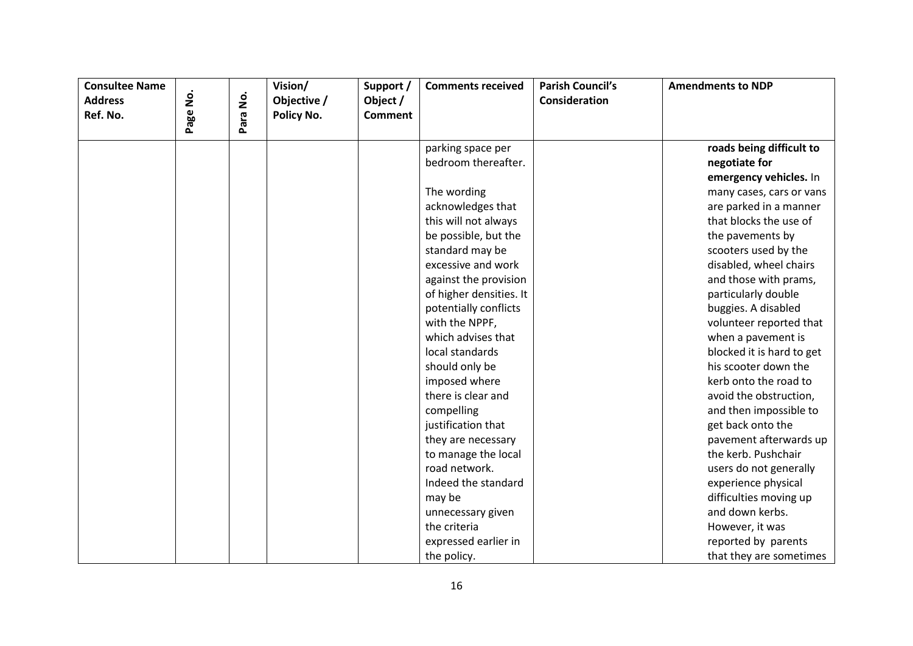| <b>Consultee Name</b><br><b>Address</b><br>Ref. No. | ġ<br>Page | <u>ş</u><br>ara<br>௳ | Vision/<br>Objective /<br>Policy No. | Support /<br>Object /<br><b>Comment</b> | <b>Comments received</b>                 | <b>Parish Council's</b><br><b>Consideration</b> | <b>Amendments to NDP</b>  |
|-----------------------------------------------------|-----------|----------------------|--------------------------------------|-----------------------------------------|------------------------------------------|-------------------------------------------------|---------------------------|
|                                                     |           |                      |                                      |                                         |                                          |                                                 | roads being difficult to  |
|                                                     |           |                      |                                      |                                         | parking space per<br>bedroom thereafter. |                                                 | negotiate for             |
|                                                     |           |                      |                                      |                                         |                                          |                                                 |                           |
|                                                     |           |                      |                                      |                                         |                                          |                                                 | emergency vehicles. In    |
|                                                     |           |                      |                                      |                                         | The wording                              |                                                 | many cases, cars or vans  |
|                                                     |           |                      |                                      |                                         | acknowledges that                        |                                                 | are parked in a manner    |
|                                                     |           |                      |                                      |                                         | this will not always                     |                                                 | that blocks the use of    |
|                                                     |           |                      |                                      |                                         | be possible, but the                     |                                                 | the pavements by          |
|                                                     |           |                      |                                      |                                         | standard may be                          |                                                 | scooters used by the      |
|                                                     |           |                      |                                      |                                         | excessive and work                       |                                                 | disabled, wheel chairs    |
|                                                     |           |                      |                                      |                                         | against the provision                    |                                                 | and those with prams,     |
|                                                     |           |                      |                                      |                                         | of higher densities. It                  |                                                 | particularly double       |
|                                                     |           |                      |                                      |                                         | potentially conflicts                    |                                                 | buggies. A disabled       |
|                                                     |           |                      |                                      |                                         | with the NPPF,                           |                                                 | volunteer reported that   |
|                                                     |           |                      |                                      |                                         | which advises that                       |                                                 | when a pavement is        |
|                                                     |           |                      |                                      |                                         | local standards                          |                                                 | blocked it is hard to get |
|                                                     |           |                      |                                      |                                         | should only be                           |                                                 | his scooter down the      |
|                                                     |           |                      |                                      |                                         | imposed where                            |                                                 | kerb onto the road to     |
|                                                     |           |                      |                                      |                                         | there is clear and                       |                                                 | avoid the obstruction,    |
|                                                     |           |                      |                                      |                                         | compelling                               |                                                 | and then impossible to    |
|                                                     |           |                      |                                      |                                         | justification that                       |                                                 | get back onto the         |
|                                                     |           |                      |                                      |                                         | they are necessary                       |                                                 | pavement afterwards up    |
|                                                     |           |                      |                                      |                                         | to manage the local                      |                                                 | the kerb. Pushchair       |
|                                                     |           |                      |                                      |                                         | road network.                            |                                                 | users do not generally    |
|                                                     |           |                      |                                      |                                         | Indeed the standard                      |                                                 | experience physical       |
|                                                     |           |                      |                                      |                                         | may be                                   |                                                 | difficulties moving up    |
|                                                     |           |                      |                                      |                                         | unnecessary given                        |                                                 | and down kerbs.           |
|                                                     |           |                      |                                      |                                         | the criteria                             |                                                 | However, it was           |
|                                                     |           |                      |                                      |                                         | expressed earlier in                     |                                                 | reported by parents       |
|                                                     |           |                      |                                      |                                         | the policy.                              |                                                 | that they are sometimes   |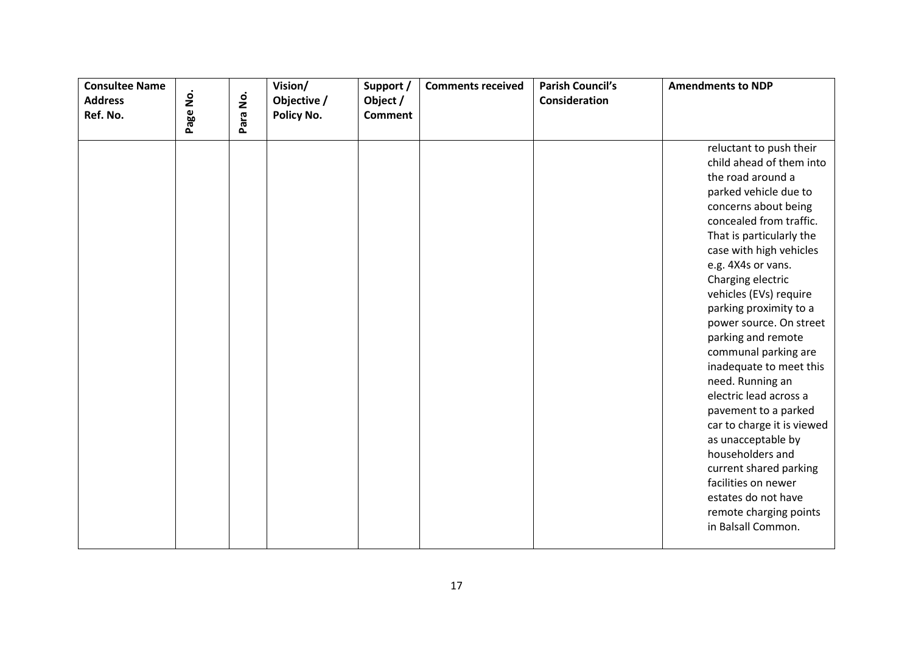| <b>Consultee Name</b><br><b>Address</b><br>Ref. No. | ġ<br>Page | Para No. | Vision/<br>Objective /<br>Policy No. | Support /<br>Object /<br><b>Comment</b> | <b>Comments received</b> | <b>Parish Council's</b><br>Consideration | <b>Amendments to NDP</b>                                                                                                                                                                                                                                                                                                                                                                                                                                                                                                                                                                                                                                                             |
|-----------------------------------------------------|-----------|----------|--------------------------------------|-----------------------------------------|--------------------------|------------------------------------------|--------------------------------------------------------------------------------------------------------------------------------------------------------------------------------------------------------------------------------------------------------------------------------------------------------------------------------------------------------------------------------------------------------------------------------------------------------------------------------------------------------------------------------------------------------------------------------------------------------------------------------------------------------------------------------------|
|                                                     |           |          |                                      |                                         |                          |                                          | reluctant to push their<br>child ahead of them into<br>the road around a<br>parked vehicle due to<br>concerns about being<br>concealed from traffic.<br>That is particularly the<br>case with high vehicles<br>e.g. 4X4s or vans.<br>Charging electric<br>vehicles (EVs) require<br>parking proximity to a<br>power source. On street<br>parking and remote<br>communal parking are<br>inadequate to meet this<br>need. Running an<br>electric lead across a<br>pavement to a parked<br>car to charge it is viewed<br>as unacceptable by<br>householders and<br>current shared parking<br>facilities on newer<br>estates do not have<br>remote charging points<br>in Balsall Common. |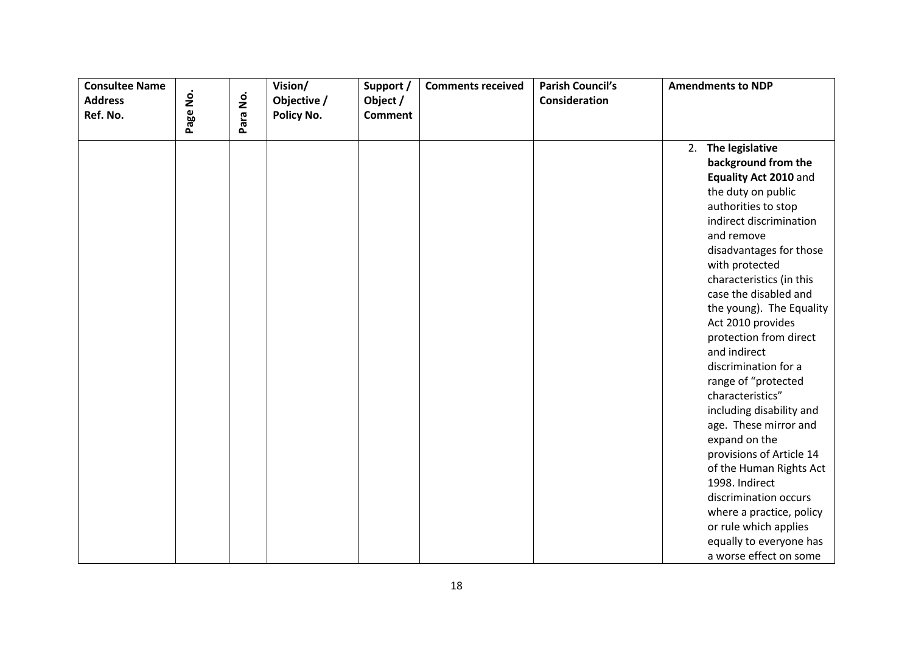| <b>Consultee Name</b><br><b>Address</b><br>Ref. No. | Page No. | Para No. | Vision/<br>Objective /<br>Policy No. | Support /<br>Object /<br><b>Comment</b> | <b>Comments received</b> | <b>Parish Council's</b><br>Consideration | <b>Amendments to NDP</b>                                                                                                                                                                                                                                                                                                                                                                                                                                                                                                                                                                                                                                                                                   |
|-----------------------------------------------------|----------|----------|--------------------------------------|-----------------------------------------|--------------------------|------------------------------------------|------------------------------------------------------------------------------------------------------------------------------------------------------------------------------------------------------------------------------------------------------------------------------------------------------------------------------------------------------------------------------------------------------------------------------------------------------------------------------------------------------------------------------------------------------------------------------------------------------------------------------------------------------------------------------------------------------------|
|                                                     |          |          |                                      |                                         |                          |                                          | 2. The legislative<br>background from the<br>Equality Act 2010 and<br>the duty on public<br>authorities to stop<br>indirect discrimination<br>and remove<br>disadvantages for those<br>with protected<br>characteristics (in this<br>case the disabled and<br>the young). The Equality<br>Act 2010 provides<br>protection from direct<br>and indirect<br>discrimination for a<br>range of "protected<br>characteristics"<br>including disability and<br>age. These mirror and<br>expand on the<br>provisions of Article 14<br>of the Human Rights Act<br>1998. Indirect<br>discrimination occurs<br>where a practice, policy<br>or rule which applies<br>equally to everyone has<br>a worse effect on some |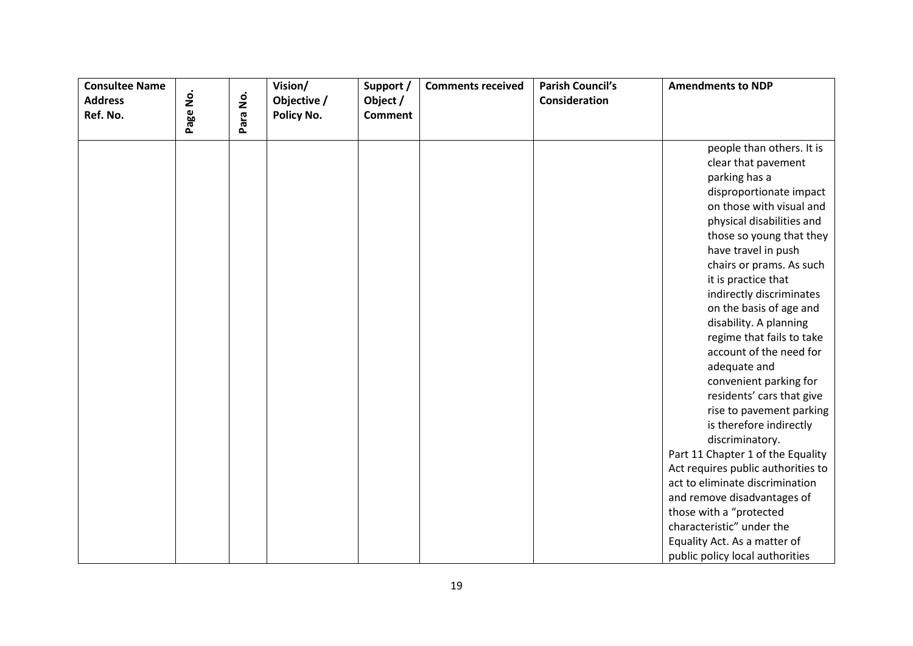| <b>Consultee Name</b><br><b>Address</b><br>Ref. No. | Page No. | Para No. | Vision/<br>Objective /<br>Policy No. | Support /<br>Object /<br><b>Comment</b> | <b>Comments received</b> | <b>Parish Council's</b><br>Consideration | <b>Amendments to NDP</b>                                                                                                                                                                                                                                                                                                                                                                                                                                                                                                                                                                                                                                                                                                                                                                                                      |
|-----------------------------------------------------|----------|----------|--------------------------------------|-----------------------------------------|--------------------------|------------------------------------------|-------------------------------------------------------------------------------------------------------------------------------------------------------------------------------------------------------------------------------------------------------------------------------------------------------------------------------------------------------------------------------------------------------------------------------------------------------------------------------------------------------------------------------------------------------------------------------------------------------------------------------------------------------------------------------------------------------------------------------------------------------------------------------------------------------------------------------|
|                                                     |          |          |                                      |                                         |                          |                                          | people than others. It is<br>clear that pavement<br>parking has a<br>disproportionate impact<br>on those with visual and<br>physical disabilities and<br>those so young that they<br>have travel in push<br>chairs or prams. As such<br>it is practice that<br>indirectly discriminates<br>on the basis of age and<br>disability. A planning<br>regime that fails to take<br>account of the need for<br>adequate and<br>convenient parking for<br>residents' cars that give<br>rise to pavement parking<br>is therefore indirectly<br>discriminatory.<br>Part 11 Chapter 1 of the Equality<br>Act requires public authorities to<br>act to eliminate discrimination<br>and remove disadvantages of<br>those with a "protected<br>characteristic" under the<br>Equality Act. As a matter of<br>public policy local authorities |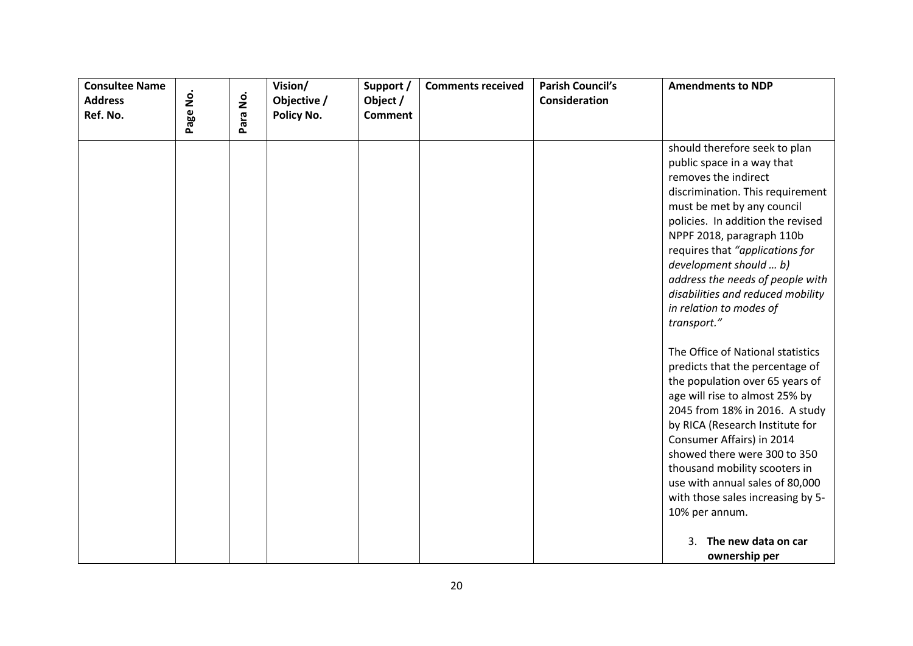| <b>Consultee Name</b>      |          |          | Vision/                   | Support /                  | <b>Comments received</b> | <b>Parish Council's</b> | <b>Amendments to NDP</b>                                                                                                                                                                                                                                                                                                                                                                                                                                                                                                                                                                                                  |
|----------------------------|----------|----------|---------------------------|----------------------------|--------------------------|-------------------------|---------------------------------------------------------------------------------------------------------------------------------------------------------------------------------------------------------------------------------------------------------------------------------------------------------------------------------------------------------------------------------------------------------------------------------------------------------------------------------------------------------------------------------------------------------------------------------------------------------------------------|
| <b>Address</b><br>Ref. No. | Page No. | Para No. | Objective /<br>Policy No. | Object /<br><b>Comment</b> |                          | Consideration           |                                                                                                                                                                                                                                                                                                                                                                                                                                                                                                                                                                                                                           |
|                            |          |          |                           |                            |                          |                         |                                                                                                                                                                                                                                                                                                                                                                                                                                                                                                                                                                                                                           |
|                            |          |          |                           |                            |                          |                         | should therefore seek to plan<br>public space in a way that<br>removes the indirect<br>discrimination. This requirement<br>must be met by any council<br>policies. In addition the revised<br>NPPF 2018, paragraph 110b<br>requires that "applications for<br>development should  b)<br>address the needs of people with<br>disabilities and reduced mobility<br>in relation to modes of<br>transport."<br>The Office of National statistics<br>predicts that the percentage of<br>the population over 65 years of<br>age will rise to almost 25% by<br>2045 from 18% in 2016. A study<br>by RICA (Research Institute for |
|                            |          |          |                           |                            |                          |                         | Consumer Affairs) in 2014<br>showed there were 300 to 350<br>thousand mobility scooters in<br>use with annual sales of 80,000<br>with those sales increasing by 5-<br>10% per annum.                                                                                                                                                                                                                                                                                                                                                                                                                                      |
|                            |          |          |                           |                            |                          |                         | The new data on car<br>3.<br>ownership per                                                                                                                                                                                                                                                                                                                                                                                                                                                                                                                                                                                |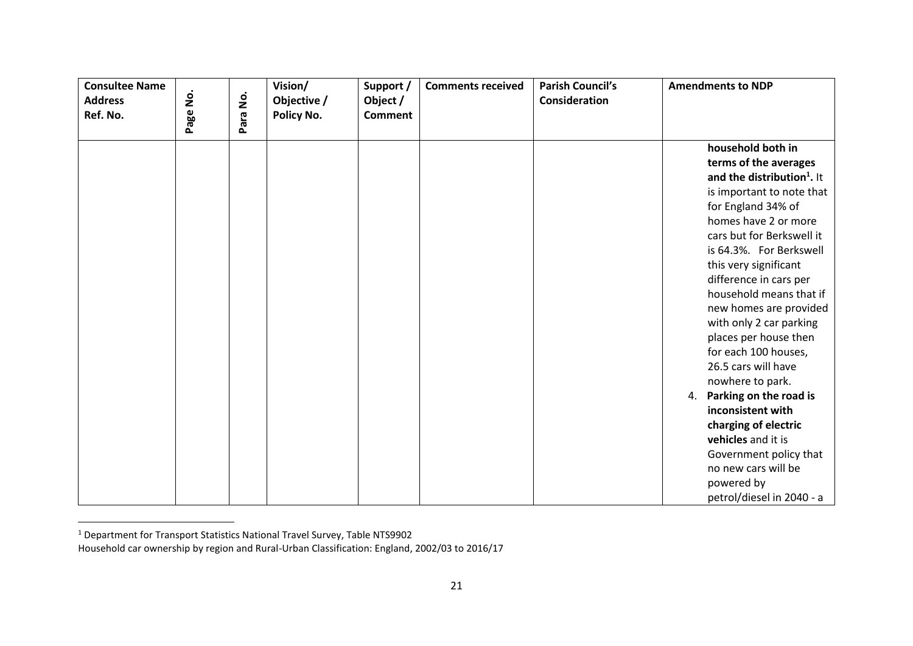| <b>Consultee Name</b><br><b>Address</b><br>Ref. No. | $\dot{\mathsf{p}}$<br>Page | <u>o</u><br>2<br>Para | Vision/<br>Objective /<br>Policy No. | Support /<br>Object /<br><b>Comment</b> | <b>Comments received</b> | <b>Parish Council's</b><br><b>Consideration</b> | <b>Amendments to NDP</b>                                                                                                                                                                                                                                                                                                                                                                                                                                                                                                                                                                                                                              |
|-----------------------------------------------------|----------------------------|-----------------------|--------------------------------------|-----------------------------------------|--------------------------|-------------------------------------------------|-------------------------------------------------------------------------------------------------------------------------------------------------------------------------------------------------------------------------------------------------------------------------------------------------------------------------------------------------------------------------------------------------------------------------------------------------------------------------------------------------------------------------------------------------------------------------------------------------------------------------------------------------------|
|                                                     |                            |                       |                                      |                                         |                          |                                                 | household both in<br>terms of the averages<br>and the distribution <sup>1</sup> . It<br>is important to note that<br>for England 34% of<br>homes have 2 or more<br>cars but for Berkswell it<br>is 64.3%. For Berkswell<br>this very significant<br>difference in cars per<br>household means that if<br>new homes are provided<br>with only 2 car parking<br>places per house then<br>for each 100 houses,<br>26.5 cars will have<br>nowhere to park.<br>Parking on the road is<br>4.<br>inconsistent with<br>charging of electric<br>vehicles and it is<br>Government policy that<br>no new cars will be<br>powered by<br>petrol/diesel in 2040 - a |

 $<sup>1</sup>$  Department for Transport Statistics National Travel Survey, Table NTS9902</sup>

 $\overline{a}$ 

Household car ownership by region and Rural-Urban Classification: England, 2002/03 to 2016/17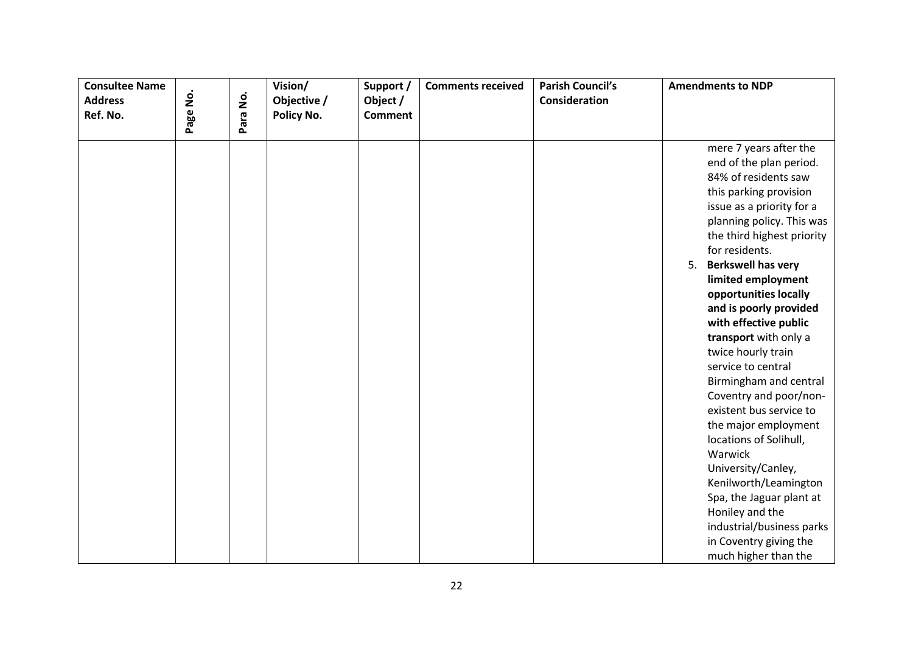| <b>Consultee Name</b> |          |          | Vision/     | Support /      | <b>Comments received</b> | <b>Parish Council's</b> | <b>Amendments to NDP</b>        |
|-----------------------|----------|----------|-------------|----------------|--------------------------|-------------------------|---------------------------------|
| <b>Address</b>        |          |          | Objective / | Object /       |                          | Consideration           |                                 |
| Ref. No.              | Page No. | Para No. | Policy No.  | <b>Comment</b> |                          |                         |                                 |
|                       |          |          |             |                |                          |                         |                                 |
|                       |          |          |             |                |                          |                         | mere 7 years after the          |
|                       |          |          |             |                |                          |                         | end of the plan period.         |
|                       |          |          |             |                |                          |                         | 84% of residents saw            |
|                       |          |          |             |                |                          |                         | this parking provision          |
|                       |          |          |             |                |                          |                         | issue as a priority for a       |
|                       |          |          |             |                |                          |                         | planning policy. This was       |
|                       |          |          |             |                |                          |                         | the third highest priority      |
|                       |          |          |             |                |                          |                         | for residents.                  |
|                       |          |          |             |                |                          |                         | <b>Berkswell has very</b><br>5. |
|                       |          |          |             |                |                          |                         | limited employment              |
|                       |          |          |             |                |                          |                         | opportunities locally           |
|                       |          |          |             |                |                          |                         | and is poorly provided          |
|                       |          |          |             |                |                          |                         | with effective public           |
|                       |          |          |             |                |                          |                         | transport with only a           |
|                       |          |          |             |                |                          |                         | twice hourly train              |
|                       |          |          |             |                |                          |                         | service to central              |
|                       |          |          |             |                |                          |                         | Birmingham and central          |
|                       |          |          |             |                |                          |                         | Coventry and poor/non-          |
|                       |          |          |             |                |                          |                         | existent bus service to         |
|                       |          |          |             |                |                          |                         | the major employment            |
|                       |          |          |             |                |                          |                         | locations of Solihull,          |
|                       |          |          |             |                |                          |                         | Warwick                         |
|                       |          |          |             |                |                          |                         | University/Canley,              |
|                       |          |          |             |                |                          |                         | Kenilworth/Leamington           |
|                       |          |          |             |                |                          |                         | Spa, the Jaguar plant at        |
|                       |          |          |             |                |                          |                         | Honiley and the                 |
|                       |          |          |             |                |                          |                         | industrial/business parks       |
|                       |          |          |             |                |                          |                         | in Coventry giving the          |
|                       |          |          |             |                |                          |                         | much higher than the            |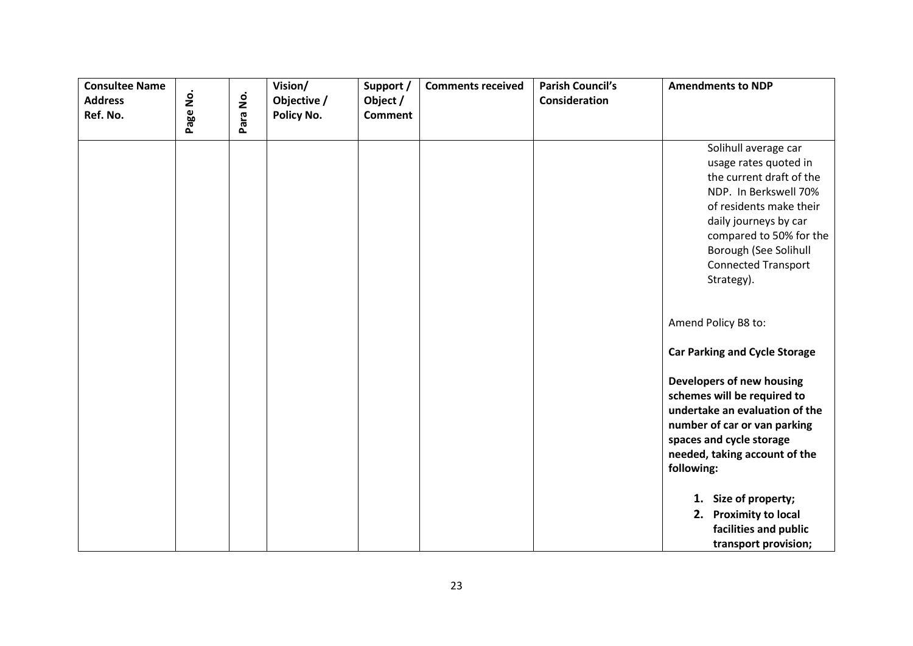| <b>Consultee Name</b><br><b>Address</b><br>Ref. No. | $\dot{\mathsf{S}}$<br>Page | Para No. | Vision/<br>Objective /<br>Policy No. | Support /<br>Object /<br><b>Comment</b> | <b>Comments received</b> | <b>Parish Council's</b><br>Consideration | <b>Amendments to NDP</b>                                                                                                                                                                                                                                                      |
|-----------------------------------------------------|----------------------------|----------|--------------------------------------|-----------------------------------------|--------------------------|------------------------------------------|-------------------------------------------------------------------------------------------------------------------------------------------------------------------------------------------------------------------------------------------------------------------------------|
|                                                     |                            |          |                                      |                                         |                          |                                          | Solihull average car<br>usage rates quoted in<br>the current draft of the<br>NDP. In Berkswell 70%<br>of residents make their<br>daily journeys by car<br>compared to 50% for the<br>Borough (See Solihull<br><b>Connected Transport</b><br>Strategy).<br>Amend Policy B8 to: |
|                                                     |                            |          |                                      |                                         |                          |                                          | <b>Car Parking and Cycle Storage</b>                                                                                                                                                                                                                                          |
|                                                     |                            |          |                                      |                                         |                          |                                          | Developers of new housing<br>schemes will be required to<br>undertake an evaluation of the<br>number of car or van parking<br>spaces and cycle storage<br>needed, taking account of the<br>following:                                                                         |
|                                                     |                            |          |                                      |                                         |                          |                                          | 1. Size of property;<br>2. Proximity to local<br>facilities and public<br>transport provision;                                                                                                                                                                                |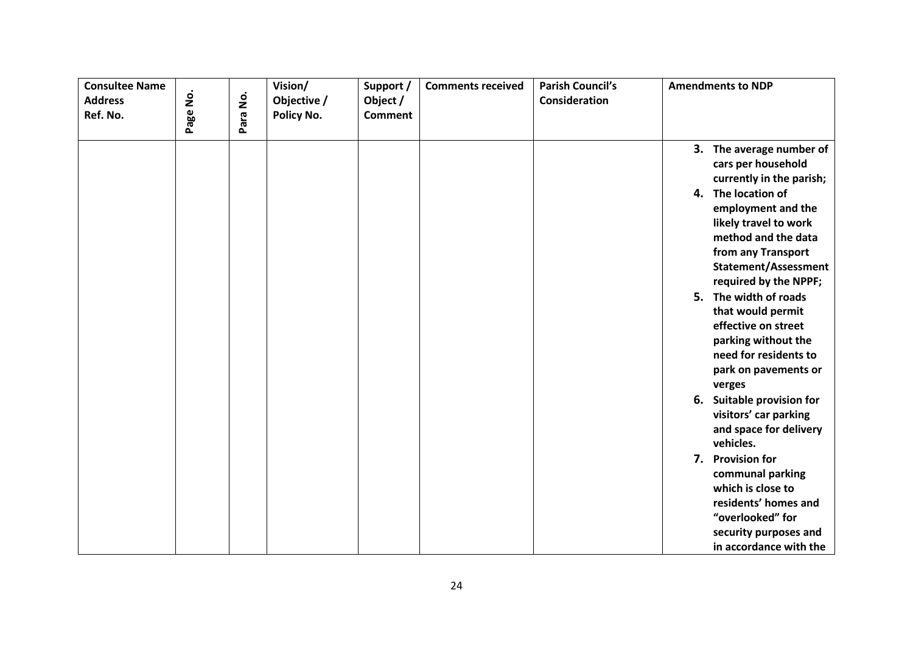| <b>Consultee Name</b><br><b>Address</b><br>Ref. No. | Page No. | Para No. | Vision/<br>Objective /<br>Policy No. | Support /<br>Object /<br><b>Comment</b> | <b>Comments received</b> | <b>Parish Council's</b><br>Consideration | <b>Amendments to NDP</b>                                                                                                                                                                                                                                                                                                                         |
|-----------------------------------------------------|----------|----------|--------------------------------------|-----------------------------------------|--------------------------|------------------------------------------|--------------------------------------------------------------------------------------------------------------------------------------------------------------------------------------------------------------------------------------------------------------------------------------------------------------------------------------------------|
|                                                     |          |          |                                      |                                         |                          |                                          | 3. The average number of<br>cars per household<br>currently in the parish;<br>4. The location of<br>employment and the<br>likely travel to work<br>method and the data<br>from any Transport<br><b>Statement/Assessment</b><br>required by the NPPF;<br>5. The width of roads<br>that would permit<br>effective on street<br>parking without the |
|                                                     |          |          |                                      |                                         |                          |                                          | need for residents to<br>park on pavements or<br>verges<br>Suitable provision for<br>6.<br>visitors' car parking<br>and space for delivery<br>vehicles.<br>7. Provision for<br>communal parking<br>which is close to<br>residents' homes and<br>"overlooked" for<br>security purposes and<br>in accordance with the                              |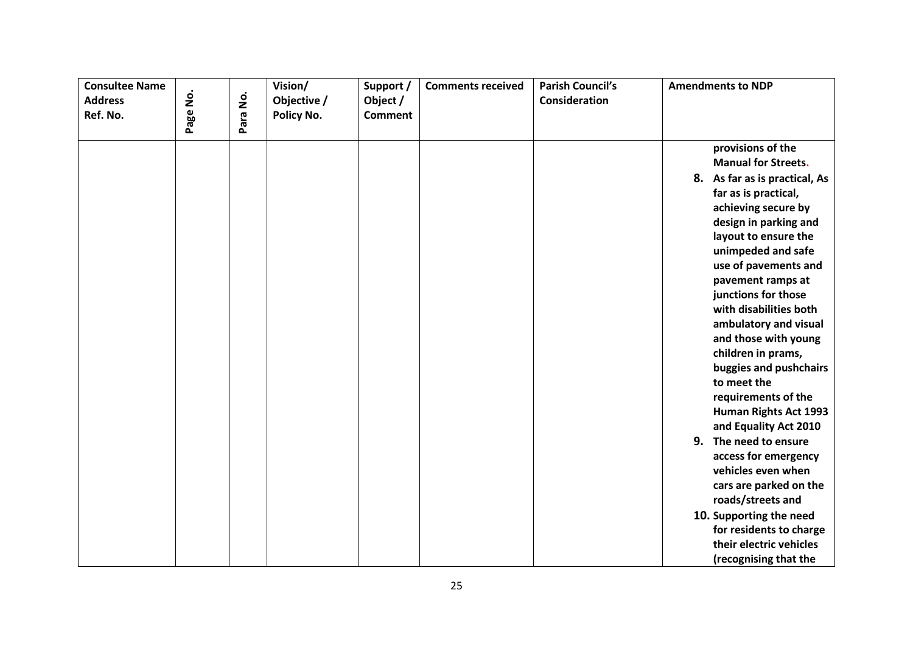| <b>Consultee Name</b><br><b>Address</b><br>Ref. No. | Page No. | Para No. | Vision/<br>Objective /<br>Policy No. | Support /<br>Object /<br><b>Comment</b> | <b>Comments received</b> | <b>Parish Council's</b><br>Consideration | <b>Amendments to NDP</b>                                                                                                                                                                                                                                                                                                                                                                                                                                                                                                                                                                                                                                                                                                      |
|-----------------------------------------------------|----------|----------|--------------------------------------|-----------------------------------------|--------------------------|------------------------------------------|-------------------------------------------------------------------------------------------------------------------------------------------------------------------------------------------------------------------------------------------------------------------------------------------------------------------------------------------------------------------------------------------------------------------------------------------------------------------------------------------------------------------------------------------------------------------------------------------------------------------------------------------------------------------------------------------------------------------------------|
|                                                     |          |          |                                      |                                         |                          |                                          | provisions of the<br><b>Manual for Streets.</b><br>8. As far as is practical, As<br>far as is practical,<br>achieving secure by<br>design in parking and<br>layout to ensure the<br>unimpeded and safe<br>use of pavements and<br>pavement ramps at<br>junctions for those<br>with disabilities both<br>ambulatory and visual<br>and those with young<br>children in prams,<br>buggies and pushchairs<br>to meet the<br>requirements of the<br>Human Rights Act 1993<br>and Equality Act 2010<br>9. The need to ensure<br>access for emergency<br>vehicles even when<br>cars are parked on the<br>roads/streets and<br>10. Supporting the need<br>for residents to charge<br>their electric vehicles<br>(recognising that the |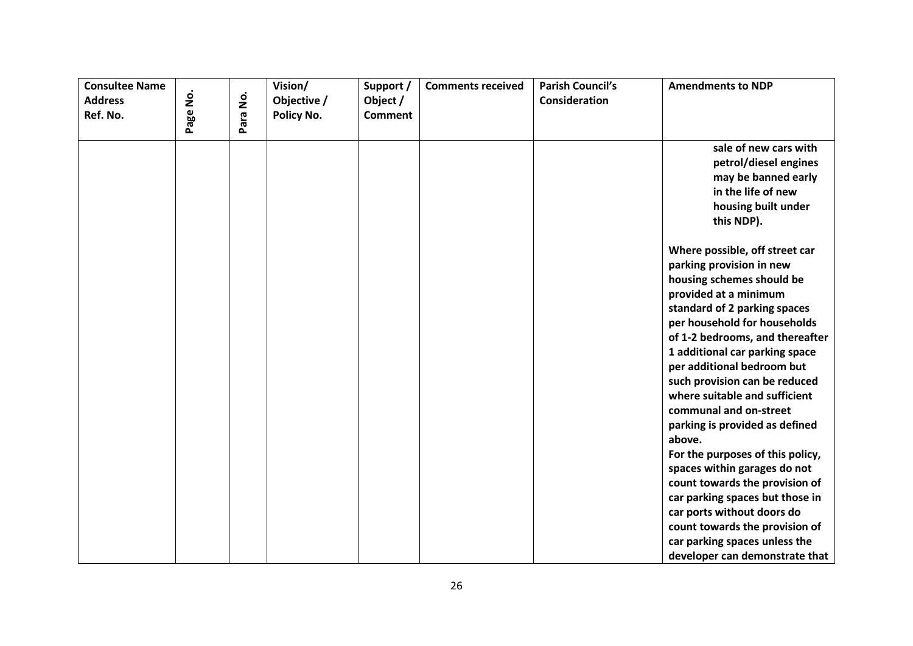| <b>Consultee Name</b>      |          |          | Vision/                   | Support /                  | <b>Comments received</b> | <b>Parish Council's</b> | <b>Amendments to NDP</b>         |
|----------------------------|----------|----------|---------------------------|----------------------------|--------------------------|-------------------------|----------------------------------|
| <b>Address</b><br>Ref. No. | Page No. | Para No. | Objective /<br>Policy No. | Object /<br><b>Comment</b> |                          | Consideration           |                                  |
|                            |          |          |                           |                            |                          |                         |                                  |
|                            |          |          |                           |                            |                          |                         | sale of new cars with            |
|                            |          |          |                           |                            |                          |                         | petrol/diesel engines            |
|                            |          |          |                           |                            |                          |                         | may be banned early              |
|                            |          |          |                           |                            |                          |                         | in the life of new               |
|                            |          |          |                           |                            |                          |                         | housing built under              |
|                            |          |          |                           |                            |                          |                         | this NDP).                       |
|                            |          |          |                           |                            |                          |                         | Where possible, off street car   |
|                            |          |          |                           |                            |                          |                         | parking provision in new         |
|                            |          |          |                           |                            |                          |                         | housing schemes should be        |
|                            |          |          |                           |                            |                          |                         | provided at a minimum            |
|                            |          |          |                           |                            |                          |                         | standard of 2 parking spaces     |
|                            |          |          |                           |                            |                          |                         | per household for households     |
|                            |          |          |                           |                            |                          |                         | of 1-2 bedrooms, and thereafter  |
|                            |          |          |                           |                            |                          |                         | 1 additional car parking space   |
|                            |          |          |                           |                            |                          |                         | per additional bedroom but       |
|                            |          |          |                           |                            |                          |                         | such provision can be reduced    |
|                            |          |          |                           |                            |                          |                         | where suitable and sufficient    |
|                            |          |          |                           |                            |                          |                         | communal and on-street           |
|                            |          |          |                           |                            |                          |                         | parking is provided as defined   |
|                            |          |          |                           |                            |                          |                         | above.                           |
|                            |          |          |                           |                            |                          |                         | For the purposes of this policy, |
|                            |          |          |                           |                            |                          |                         | spaces within garages do not     |
|                            |          |          |                           |                            |                          |                         | count towards the provision of   |
|                            |          |          |                           |                            |                          |                         | car parking spaces but those in  |
|                            |          |          |                           |                            |                          |                         | car ports without doors do       |
|                            |          |          |                           |                            |                          |                         | count towards the provision of   |
|                            |          |          |                           |                            |                          |                         | car parking spaces unless the    |
|                            |          |          |                           |                            |                          |                         | developer can demonstrate that   |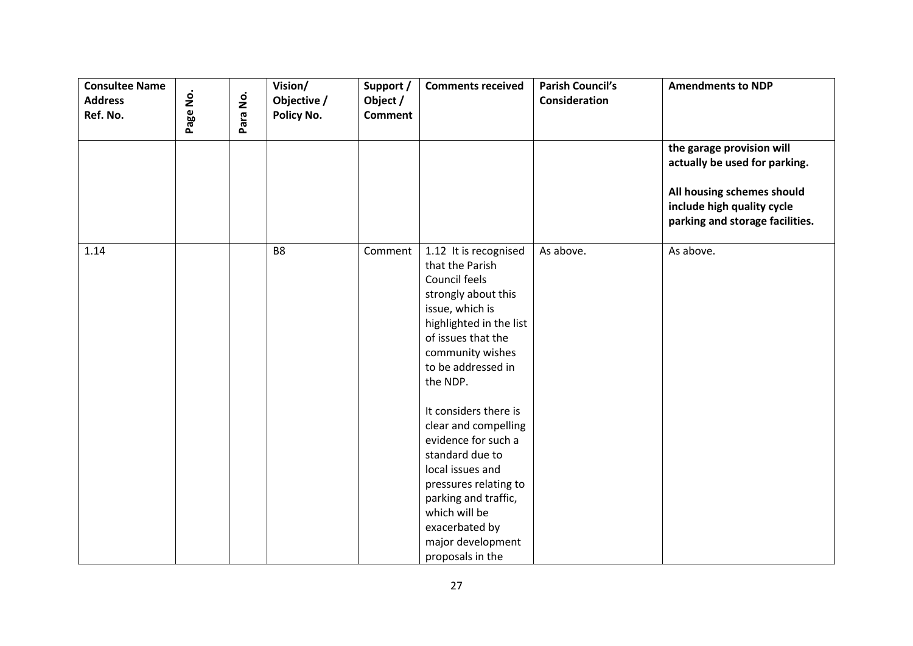| <b>Consultee Name</b><br><b>Address</b><br>Ref. No. | Page No. | Para No. | Vision/<br>Objective /<br>Policy No. | Support /<br>Object /<br><b>Comment</b> | <b>Comments received</b>                                                                                                                                                                                                                 | <b>Parish Council's</b><br>Consideration | <b>Amendments to NDP</b>                                                                                                                                  |
|-----------------------------------------------------|----------|----------|--------------------------------------|-----------------------------------------|------------------------------------------------------------------------------------------------------------------------------------------------------------------------------------------------------------------------------------------|------------------------------------------|-----------------------------------------------------------------------------------------------------------------------------------------------------------|
|                                                     |          |          |                                      |                                         |                                                                                                                                                                                                                                          |                                          | the garage provision will<br>actually be used for parking.<br>All housing schemes should<br>include high quality cycle<br>parking and storage facilities. |
| 1.14                                                |          |          | B <sub>8</sub>                       | Comment                                 | 1.12 It is recognised<br>that the Parish<br>Council feels<br>strongly about this<br>issue, which is<br>highlighted in the list<br>of issues that the<br>community wishes<br>to be addressed in<br>the NDP.                               | As above.                                | As above.                                                                                                                                                 |
|                                                     |          |          |                                      |                                         | It considers there is<br>clear and compelling<br>evidence for such a<br>standard due to<br>local issues and<br>pressures relating to<br>parking and traffic,<br>which will be<br>exacerbated by<br>major development<br>proposals in the |                                          |                                                                                                                                                           |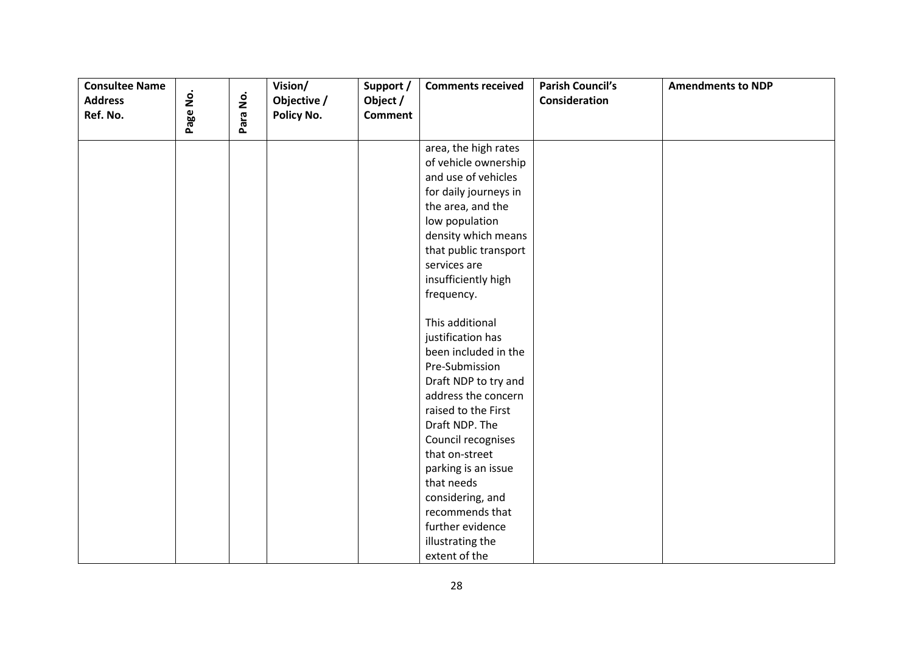| <b>Consultee Name</b><br><b>Address</b><br>Ref. No. | Page No. | Para No. | Vision/<br>Objective /<br>Policy No. | Support /<br>Object /<br><b>Comment</b> | <b>Comments received</b> | <b>Parish Council's</b><br>Consideration | <b>Amendments to NDP</b> |
|-----------------------------------------------------|----------|----------|--------------------------------------|-----------------------------------------|--------------------------|------------------------------------------|--------------------------|
|                                                     |          |          |                                      |                                         |                          |                                          |                          |
|                                                     |          |          |                                      |                                         | area, the high rates     |                                          |                          |
|                                                     |          |          |                                      |                                         | of vehicle ownership     |                                          |                          |
|                                                     |          |          |                                      |                                         | and use of vehicles      |                                          |                          |
|                                                     |          |          |                                      |                                         | for daily journeys in    |                                          |                          |
|                                                     |          |          |                                      |                                         | the area, and the        |                                          |                          |
|                                                     |          |          |                                      |                                         | low population           |                                          |                          |
|                                                     |          |          |                                      |                                         | density which means      |                                          |                          |
|                                                     |          |          |                                      |                                         | that public transport    |                                          |                          |
|                                                     |          |          |                                      |                                         | services are             |                                          |                          |
|                                                     |          |          |                                      |                                         | insufficiently high      |                                          |                          |
|                                                     |          |          |                                      |                                         | frequency.               |                                          |                          |
|                                                     |          |          |                                      |                                         | This additional          |                                          |                          |
|                                                     |          |          |                                      |                                         | justification has        |                                          |                          |
|                                                     |          |          |                                      |                                         | been included in the     |                                          |                          |
|                                                     |          |          |                                      |                                         | Pre-Submission           |                                          |                          |
|                                                     |          |          |                                      |                                         | Draft NDP to try and     |                                          |                          |
|                                                     |          |          |                                      |                                         | address the concern      |                                          |                          |
|                                                     |          |          |                                      |                                         | raised to the First      |                                          |                          |
|                                                     |          |          |                                      |                                         | Draft NDP. The           |                                          |                          |
|                                                     |          |          |                                      |                                         | Council recognises       |                                          |                          |
|                                                     |          |          |                                      |                                         | that on-street           |                                          |                          |
|                                                     |          |          |                                      |                                         | parking is an issue      |                                          |                          |
|                                                     |          |          |                                      |                                         | that needs               |                                          |                          |
|                                                     |          |          |                                      |                                         | considering, and         |                                          |                          |
|                                                     |          |          |                                      |                                         | recommends that          |                                          |                          |
|                                                     |          |          |                                      |                                         | further evidence         |                                          |                          |
|                                                     |          |          |                                      |                                         | illustrating the         |                                          |                          |
|                                                     |          |          |                                      |                                         | extent of the            |                                          |                          |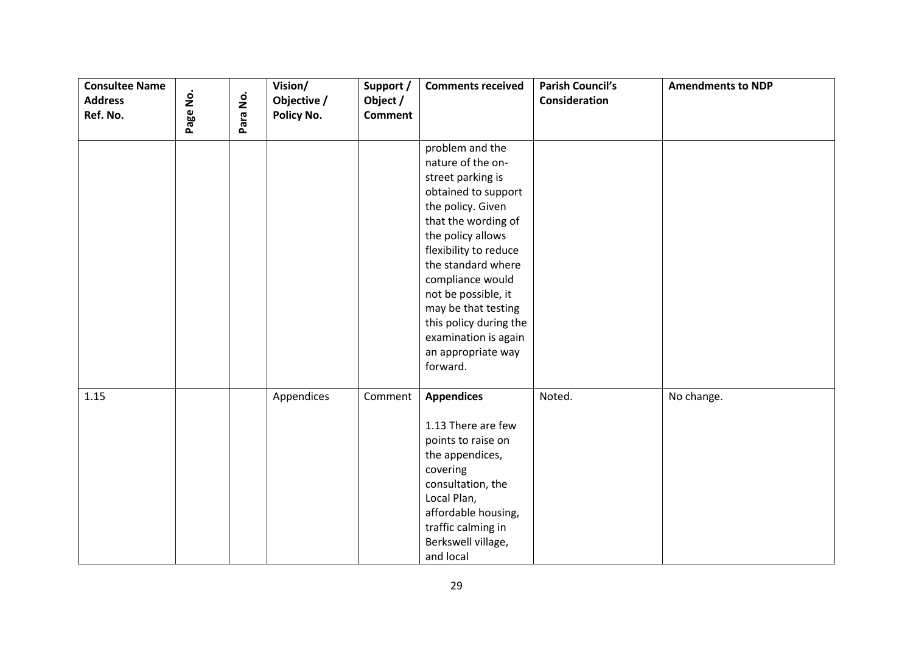| <b>Consultee Name</b><br><b>Address</b><br>Ref. No. | Page No. | Para No. | Vision/<br>Objective /<br>Policy No. | Support /<br>Object /<br><b>Comment</b> | <b>Comments received</b>                                                                                                                                                                                                                                                                                                                               | <b>Parish Council's</b><br><b>Consideration</b> | <b>Amendments to NDP</b> |
|-----------------------------------------------------|----------|----------|--------------------------------------|-----------------------------------------|--------------------------------------------------------------------------------------------------------------------------------------------------------------------------------------------------------------------------------------------------------------------------------------------------------------------------------------------------------|-------------------------------------------------|--------------------------|
|                                                     |          |          |                                      |                                         | problem and the<br>nature of the on-<br>street parking is<br>obtained to support<br>the policy. Given<br>that the wording of<br>the policy allows<br>flexibility to reduce<br>the standard where<br>compliance would<br>not be possible, it<br>may be that testing<br>this policy during the<br>examination is again<br>an appropriate way<br>forward. |                                                 |                          |
| 1.15                                                |          |          | Appendices                           | Comment                                 | <b>Appendices</b><br>1.13 There are few<br>points to raise on<br>the appendices,<br>covering<br>consultation, the<br>Local Plan,<br>affordable housing,<br>traffic calming in<br>Berkswell village,<br>and local                                                                                                                                       | Noted.                                          | No change.               |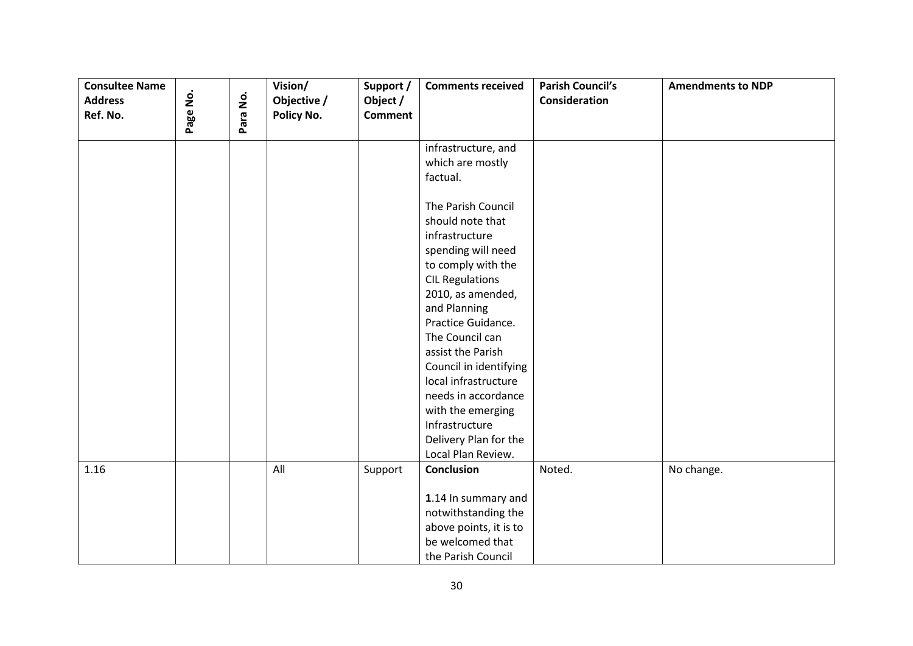| <b>Consultee Name</b> |          |          | Vision/     | Support /      | <b>Comments received</b>                       | <b>Parish Council's</b> | <b>Amendments to NDP</b> |
|-----------------------|----------|----------|-------------|----------------|------------------------------------------------|-------------------------|--------------------------|
| <b>Address</b>        |          |          | Objective / | Object /       |                                                | <b>Consideration</b>    |                          |
| Ref. No.              | Page No. | Para No. | Policy No.  | <b>Comment</b> |                                                |                         |                          |
|                       |          |          |             |                | infrastructure, and                            |                         |                          |
|                       |          |          |             |                | which are mostly                               |                         |                          |
|                       |          |          |             |                | factual.                                       |                         |                          |
|                       |          |          |             |                |                                                |                         |                          |
|                       |          |          |             |                | The Parish Council                             |                         |                          |
|                       |          |          |             |                | should note that                               |                         |                          |
|                       |          |          |             |                | infrastructure                                 |                         |                          |
|                       |          |          |             |                | spending will need                             |                         |                          |
|                       |          |          |             |                | to comply with the                             |                         |                          |
|                       |          |          |             |                | <b>CIL Regulations</b>                         |                         |                          |
|                       |          |          |             |                | 2010, as amended,                              |                         |                          |
|                       |          |          |             |                | and Planning                                   |                         |                          |
|                       |          |          |             |                | Practice Guidance.                             |                         |                          |
|                       |          |          |             |                | The Council can                                |                         |                          |
|                       |          |          |             |                | assist the Parish                              |                         |                          |
|                       |          |          |             |                | Council in identifying<br>local infrastructure |                         |                          |
|                       |          |          |             |                | needs in accordance                            |                         |                          |
|                       |          |          |             |                | with the emerging                              |                         |                          |
|                       |          |          |             |                | Infrastructure                                 |                         |                          |
|                       |          |          |             |                | Delivery Plan for the                          |                         |                          |
|                       |          |          |             |                | Local Plan Review.                             |                         |                          |
| 1.16                  |          |          | All         | Support        | <b>Conclusion</b>                              | Noted.                  | No change.               |
|                       |          |          |             |                |                                                |                         |                          |
|                       |          |          |             |                | 1.14 In summary and                            |                         |                          |
|                       |          |          |             |                | notwithstanding the                            |                         |                          |
|                       |          |          |             |                | above points, it is to                         |                         |                          |
|                       |          |          |             |                | be welcomed that                               |                         |                          |
|                       |          |          |             |                | the Parish Council                             |                         |                          |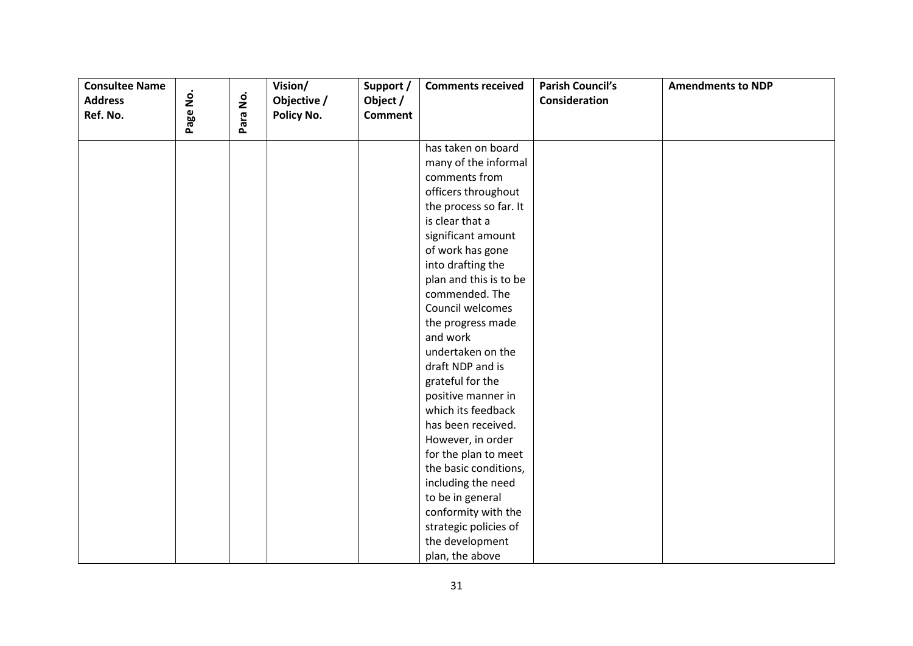| <b>Consultee Name</b><br><b>Address</b><br>Ref. No. | Page No. | Para No. | Vision/<br>Objective /<br>Policy No. | Support /<br>Object /<br><b>Comment</b> | <b>Comments received</b>                                                                                                                                                                                                                                                                                                                                                                                                                                                                                                                                                                                          | <b>Parish Council's</b><br>Consideration | <b>Amendments to NDP</b> |
|-----------------------------------------------------|----------|----------|--------------------------------------|-----------------------------------------|-------------------------------------------------------------------------------------------------------------------------------------------------------------------------------------------------------------------------------------------------------------------------------------------------------------------------------------------------------------------------------------------------------------------------------------------------------------------------------------------------------------------------------------------------------------------------------------------------------------------|------------------------------------------|--------------------------|
|                                                     |          |          |                                      |                                         | has taken on board<br>many of the informal<br>comments from<br>officers throughout<br>the process so far. It<br>is clear that a<br>significant amount<br>of work has gone<br>into drafting the<br>plan and this is to be<br>commended. The<br>Council welcomes<br>the progress made<br>and work<br>undertaken on the<br>draft NDP and is<br>grateful for the<br>positive manner in<br>which its feedback<br>has been received.<br>However, in order<br>for the plan to meet<br>the basic conditions,<br>including the need<br>to be in general<br>conformity with the<br>strategic policies of<br>the development |                                          |                          |
|                                                     |          |          |                                      |                                         | plan, the above                                                                                                                                                                                                                                                                                                                                                                                                                                                                                                                                                                                                   |                                          |                          |